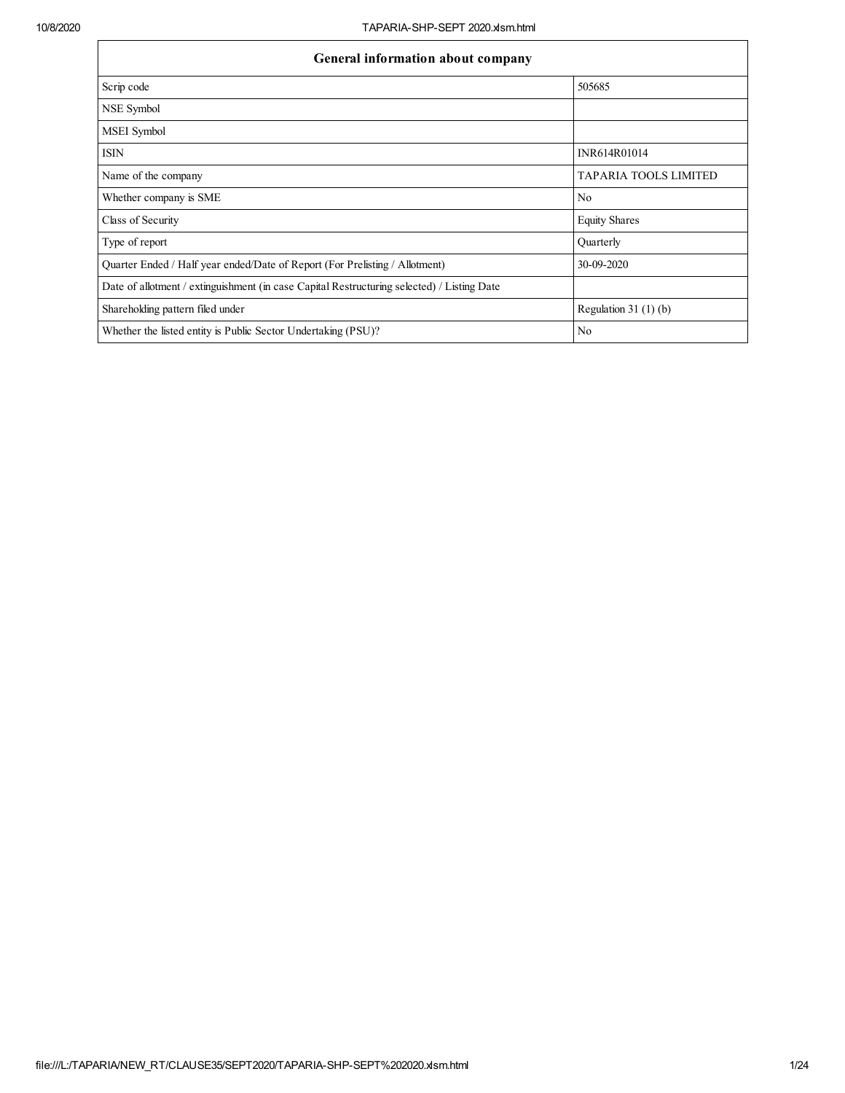| General information about company                                                          |                              |  |  |  |  |  |  |  |  |
|--------------------------------------------------------------------------------------------|------------------------------|--|--|--|--|--|--|--|--|
| Scrip code                                                                                 | 505685                       |  |  |  |  |  |  |  |  |
| NSE Symbol                                                                                 |                              |  |  |  |  |  |  |  |  |
| MSEI Symbol                                                                                |                              |  |  |  |  |  |  |  |  |
| <b>ISIN</b>                                                                                | INR614R01014                 |  |  |  |  |  |  |  |  |
| Name of the company                                                                        | <b>TAPARIA TOOLS LIMITED</b> |  |  |  |  |  |  |  |  |
| Whether company is SME                                                                     | N <sub>0</sub>               |  |  |  |  |  |  |  |  |
| Class of Security                                                                          | <b>Equity Shares</b>         |  |  |  |  |  |  |  |  |
| Type of report                                                                             | Quarterly                    |  |  |  |  |  |  |  |  |
| Quarter Ended / Half year ended/Date of Report (For Prelisting / Allotment)                | 30-09-2020                   |  |  |  |  |  |  |  |  |
| Date of allotment / extinguishment (in case Capital Restructuring selected) / Listing Date |                              |  |  |  |  |  |  |  |  |
| Shareholding pattern filed under                                                           | Regulation $31(1)(b)$        |  |  |  |  |  |  |  |  |
| Whether the listed entity is Public Sector Undertaking (PSU)?                              | N <sub>0</sub>               |  |  |  |  |  |  |  |  |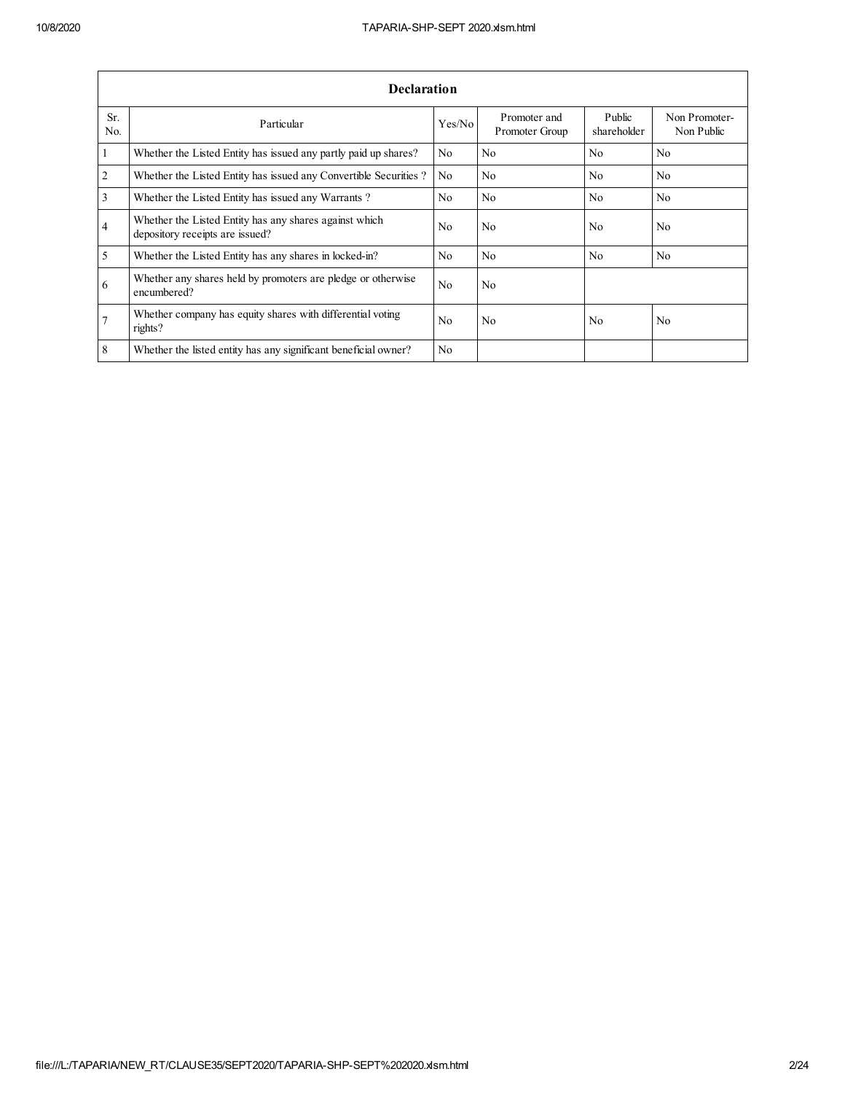|                       | <b>Declaration</b>                                                                        |                |                                |                       |                             |  |  |  |  |  |  |  |
|-----------------------|-------------------------------------------------------------------------------------------|----------------|--------------------------------|-----------------------|-----------------------------|--|--|--|--|--|--|--|
| Sr.<br>N <sub>0</sub> | Particular                                                                                | Yes/No         | Promoter and<br>Promoter Group | Public<br>shareholder | Non Promoter-<br>Non Public |  |  |  |  |  |  |  |
| 1                     | Whether the Listed Entity has issued any partly paid up shares?                           | No.            | N <sub>0</sub>                 | N <sub>0</sub>        | N <sub>0</sub>              |  |  |  |  |  |  |  |
| $\overline{2}$        | Whether the Listed Entity has issued any Convertible Securities?                          | N <sub>0</sub> | N <sub>0</sub>                 | No                    | No                          |  |  |  |  |  |  |  |
| 3                     | Whether the Listed Entity has issued any Warrants?                                        | N <sub>0</sub> | N <sub>0</sub>                 | No                    | No                          |  |  |  |  |  |  |  |
| $\overline{4}$        | Whether the Listed Entity has any shares against which<br>depository receipts are issued? | No.            | N <sub>0</sub>                 | N <sub>0</sub>        | N <sub>0</sub>              |  |  |  |  |  |  |  |
| 5                     | Whether the Listed Entity has any shares in locked-in?                                    | N <sub>0</sub> | No                             | N <sub>0</sub>        | N <sub>0</sub>              |  |  |  |  |  |  |  |
| 6                     | Whether any shares held by promoters are pledge or otherwise<br>encumbered?               | N <sub>0</sub> | N <sub>0</sub>                 |                       |                             |  |  |  |  |  |  |  |
|                       | Whether company has equity shares with differential voting<br>rights?                     | N <sub>0</sub> | N <sub>0</sub>                 | N <sub>0</sub>        | N <sub>0</sub>              |  |  |  |  |  |  |  |
| 8                     | Whether the listed entity has any significant beneficial owner?                           | N <sub>0</sub> |                                |                       |                             |  |  |  |  |  |  |  |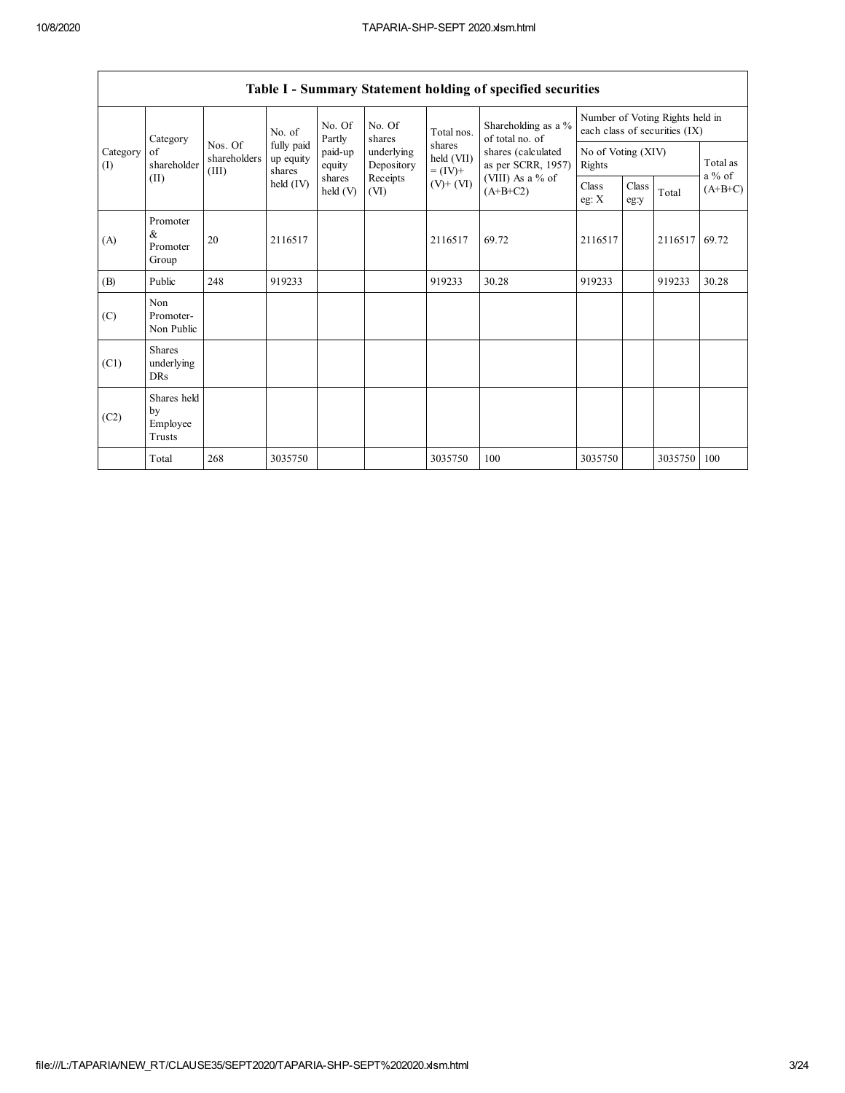|                 | Table 1 - Summary Statement holding of specified securities |                                  |                                   |                    |                          |                                    |                                                                                                                      |                                                                  |               |         |                       |  |  |
|-----------------|-------------------------------------------------------------|----------------------------------|-----------------------------------|--------------------|--------------------------|------------------------------------|----------------------------------------------------------------------------------------------------------------------|------------------------------------------------------------------|---------------|---------|-----------------------|--|--|
|                 | Category                                                    |                                  | No. of                            | No. Of<br>Partly   | No. Of<br>shares         | Total nos.                         | Shareholding as a %<br>of total no. of<br>shares (calculated<br>as per SCRR, 1957)<br>(VIII) As a % of<br>$(A+B+C2)$ | Number of Voting Rights held in<br>each class of securities (IX) |               |         |                       |  |  |
| Category<br>(I) | of<br>shareholder                                           | Nos. Of<br>shareholders<br>(III) | fully paid<br>up equity<br>shares | paid-up<br>equity  | underlying<br>Depository | shares<br>held (VII)<br>$= (IV) +$ |                                                                                                                      | No of Voting (XIV)<br>Rights                                     |               |         | Total as              |  |  |
|                 | (II)                                                        |                                  | held (IV)                         | shares<br>held (V) | Receipts<br>(VI)         | $(V)$ + $(VI)$                     |                                                                                                                      | Class<br>eg: $X$                                                 | Class<br>eg:y | Total   | $a\%$ of<br>$(A+B+C)$ |  |  |
| (A)             | Promoter<br>&<br>Promoter<br>Group                          | 20                               | 2116517                           |                    |                          | 2116517                            | 69.72                                                                                                                | 2116517                                                          |               | 2116517 | 69.72                 |  |  |
| (B)             | Public                                                      | 248                              | 919233                            |                    |                          | 919233                             | 30.28                                                                                                                | 919233                                                           |               | 919233  | 30.28                 |  |  |
| (C)             | Non<br>Promoter-<br>Non Public                              |                                  |                                   |                    |                          |                                    |                                                                                                                      |                                                                  |               |         |                       |  |  |
| (C1)            | <b>Shares</b><br>underlying<br><b>DRs</b>                   |                                  |                                   |                    |                          |                                    |                                                                                                                      |                                                                  |               |         |                       |  |  |
| (C2)            | Shares held<br>by<br>Employee<br>Trusts                     |                                  |                                   |                    |                          |                                    |                                                                                                                      |                                                                  |               |         |                       |  |  |
|                 | Total                                                       | 268                              | 3035750                           |                    |                          | 3035750                            | 100                                                                                                                  | 3035750                                                          |               | 3035750 | 100                   |  |  |

| Table I - Summary Statement holding of specified securities |  |  |  |
|-------------------------------------------------------------|--|--|--|
|                                                             |  |  |  |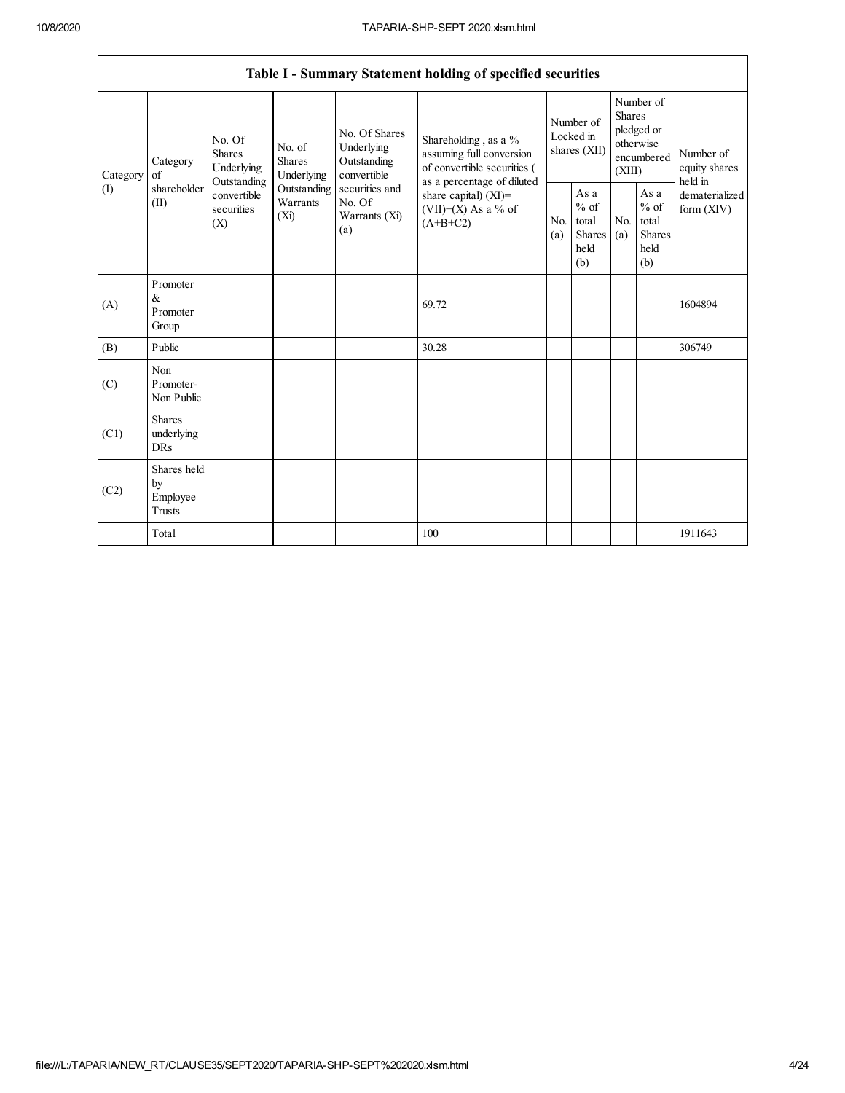$\sqrt{ }$ 

|                 |                                                |                                                                                                     |                                       |                                                           | Table I - Summary Statement holding of specified securities                                  |                                        |                                                          |                                                                               |                                                         |                                       |
|-----------------|------------------------------------------------|-----------------------------------------------------------------------------------------------------|---------------------------------------|-----------------------------------------------------------|----------------------------------------------------------------------------------------------|----------------------------------------|----------------------------------------------------------|-------------------------------------------------------------------------------|---------------------------------------------------------|---------------------------------------|
| Category<br>(1) | Category<br>of<br>shareholder<br>(II)          | No. Of<br><b>Shares</b><br>Underlying<br>Outstanding<br>convertible<br>securities<br>$(X_i)$<br>(X) | No. of<br><b>Shares</b><br>Underlying | No. Of Shares<br>Underlying<br>Outstanding<br>convertible | Shareholding, as a %<br>assuming full conversion<br>of convertible securities (              | Number of<br>Locked in<br>shares (XII) |                                                          | Number of<br><b>Shares</b><br>pledged or<br>otherwise<br>encumbered<br>(XIII) |                                                         | Number of<br>equity shares<br>held in |
|                 |                                                |                                                                                                     | Outstanding<br>Warrants               | securities and<br>No. Of<br>Warrants (Xi)<br>(a)          | as a percentage of diluted<br>share capital) $(XI)$ =<br>$(VII)+(X)$ As a % of<br>$(A+B+C2)$ | N <sub>0</sub><br>(a)                  | As a<br>$\%$ of<br>total<br><b>Shares</b><br>held<br>(b) | N <sub>0</sub><br>(a)                                                         | As a<br>$%$ of<br>total<br><b>Shares</b><br>held<br>(b) | dematerialized<br>form $(XIV)$        |
| (A)             | Promoter<br>&<br>Promoter<br>Group             |                                                                                                     |                                       |                                                           | 69.72                                                                                        |                                        |                                                          |                                                                               |                                                         | 1604894                               |
| (B)             | Public                                         |                                                                                                     |                                       |                                                           | 30.28                                                                                        |                                        |                                                          |                                                                               |                                                         | 306749                                |
| (C)             | Non<br>Promoter-<br>Non Public                 |                                                                                                     |                                       |                                                           |                                                                                              |                                        |                                                          |                                                                               |                                                         |                                       |
| (C1)            | <b>Shares</b><br>underlying<br><b>DRs</b>      |                                                                                                     |                                       |                                                           |                                                                                              |                                        |                                                          |                                                                               |                                                         |                                       |
| (C2)            | Shares held<br>by<br>Employee<br><b>Trusts</b> |                                                                                                     |                                       |                                                           |                                                                                              |                                        |                                                          |                                                                               |                                                         |                                       |
|                 | Total                                          |                                                                                                     |                                       |                                                           | 100                                                                                          |                                        |                                                          |                                                                               |                                                         | 1911643                               |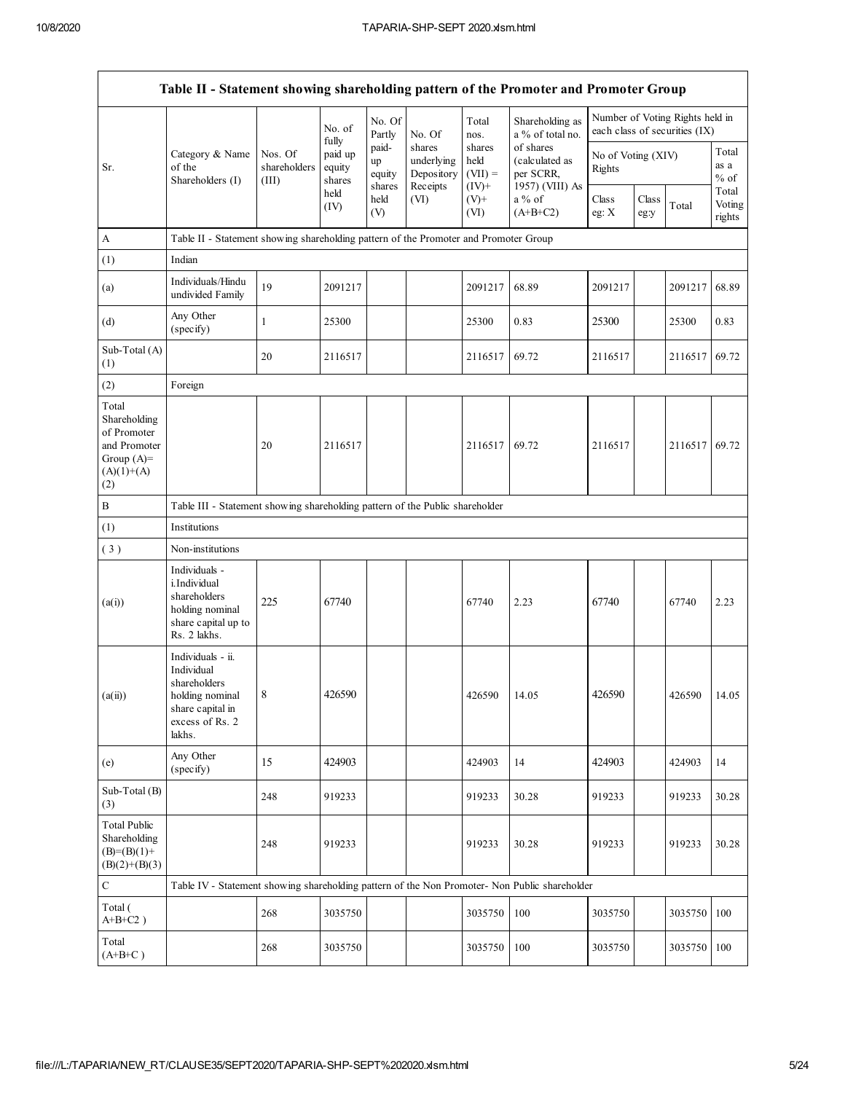| Table II - Statement showing shareholding pattern of the Promoter and Promoter Group        |                                                                                                                     |                                  |                                      |                       |                                    |                             |                                          |                              |               |                                                                  |                           |  |
|---------------------------------------------------------------------------------------------|---------------------------------------------------------------------------------------------------------------------|----------------------------------|--------------------------------------|-----------------------|------------------------------------|-----------------------------|------------------------------------------|------------------------------|---------------|------------------------------------------------------------------|---------------------------|--|
|                                                                                             |                                                                                                                     |                                  | No. of                               | No. Of<br>Partly      | No. Of                             | Total<br>nos.               | Shareholding as<br>a % of total no.      |                              |               | Number of Voting Rights held in<br>each class of securities (IX) |                           |  |
| Sr.                                                                                         | Category & Name<br>of the<br>Shareholders (I)                                                                       | Nos. Of<br>shareholders<br>(III) | fully<br>paid up<br>equity<br>shares | paid-<br>up<br>equity | shares<br>underlying<br>Depository | shares<br>held<br>$(VII) =$ | of shares<br>(calculated as<br>per SCRR, | No of Voting (XIV)<br>Rights |               |                                                                  | Total<br>as a<br>$%$ of   |  |
|                                                                                             |                                                                                                                     |                                  | held<br>(IV)                         | shares<br>held<br>(V) | Receipts<br>(VI)                   | $(IV)^+$<br>$(V)+$<br>(VI)  | 1957) (VIII) As<br>a % of<br>$(A+B+C2)$  | Class<br>eg: $X$             | Class<br>eg:y | Total                                                            | Total<br>Voting<br>rights |  |
| A                                                                                           | Table II - Statement showing shareholding pattern of the Promoter and Promoter Group                                |                                  |                                      |                       |                                    |                             |                                          |                              |               |                                                                  |                           |  |
| (1)                                                                                         | Indian                                                                                                              |                                  |                                      |                       |                                    |                             |                                          |                              |               |                                                                  |                           |  |
| (a)                                                                                         | Individuals/Hindu<br>undivided Family                                                                               | 19                               | 2091217                              |                       |                                    | 2091217                     | 68.89                                    | 2091217                      |               | 2091217                                                          | 68.89                     |  |
| (d)                                                                                         | Any Other<br>(specify)                                                                                              | 1                                | 25300                                |                       |                                    | 25300                       | 0.83                                     | 25300                        |               | 25300                                                            | 0.83                      |  |
| Sub-Total (A)<br>(1)                                                                        |                                                                                                                     | 20                               | 2116517                              |                       |                                    | 2116517                     | 69.72                                    | 2116517                      |               | 2116517                                                          | 69.72                     |  |
| (2)                                                                                         | Foreign                                                                                                             |                                  |                                      |                       |                                    |                             |                                          |                              |               |                                                                  |                           |  |
| Total<br>Shareholding<br>of Promoter<br>and Promoter<br>Group $(A)=$<br>$(A)(1)+(A)$<br>(2) |                                                                                                                     | 20                               | 2116517                              |                       |                                    | 2116517                     | 69.72                                    | 2116517                      |               | 2116517                                                          | 69.72                     |  |
| $\, {\bf B}$                                                                                | Table III - Statement showing shareholding pattern of the Public shareholder                                        |                                  |                                      |                       |                                    |                             |                                          |                              |               |                                                                  |                           |  |
| (1)                                                                                         | Institutions                                                                                                        |                                  |                                      |                       |                                    |                             |                                          |                              |               |                                                                  |                           |  |
| (3)                                                                                         | Non-institutions                                                                                                    |                                  |                                      |                       |                                    |                             |                                          |                              |               |                                                                  |                           |  |
| (a(i))                                                                                      | Individuals -<br>i.Individual<br>shareholders<br>holding nominal<br>share capital up to<br>Rs. 2 lakhs.             | 225                              | 67740                                |                       |                                    | 67740                       | 2.23                                     | 67740                        |               | 67740                                                            | 2.23                      |  |
| (a(ii))                                                                                     | Individuals - ii.<br>Individual<br>shareholders<br>holding nominal<br>share capital in<br>excess of Rs. 2<br>lakhs. | 8                                | 426590                               |                       |                                    | 426590                      | 14.05                                    | 426590                       |               | 426590                                                           | 14.05                     |  |
| (e)                                                                                         | Any Other<br>(specify)                                                                                              | 15                               | 424903                               |                       |                                    | 424903                      | 14                                       | 424903                       |               | 424903                                                           | 14                        |  |
| Sub-Total (B)<br>(3)                                                                        |                                                                                                                     | 248                              | 919233                               |                       |                                    | 919233                      | 30.28                                    | 919233                       |               | 919233                                                           | 30.28                     |  |
| <b>Total Public</b><br>Shareholding<br>$(B)=(B)(1)+$<br>$(B)(2)+(B)(3)$                     |                                                                                                                     | 248                              | 919233                               |                       |                                    | 919233                      | 30.28                                    | 919233                       |               | 919233                                                           | 30.28                     |  |
| $\mathbf C$                                                                                 | Table IV - Statement showing shareholding pattern of the Non Promoter- Non Public shareholder                       |                                  |                                      |                       |                                    |                             |                                          |                              |               |                                                                  |                           |  |
| Total (<br>$A+B+C2$ )                                                                       |                                                                                                                     | 268                              | 3035750                              |                       |                                    | 3035750                     | 100                                      | 3035750                      |               | 3035750                                                          | 100                       |  |
| Total<br>$(A+B+C)$                                                                          |                                                                                                                     | 268                              | 3035750                              |                       |                                    | 3035750                     | 100                                      | 3035750                      |               | 3035750   100                                                    |                           |  |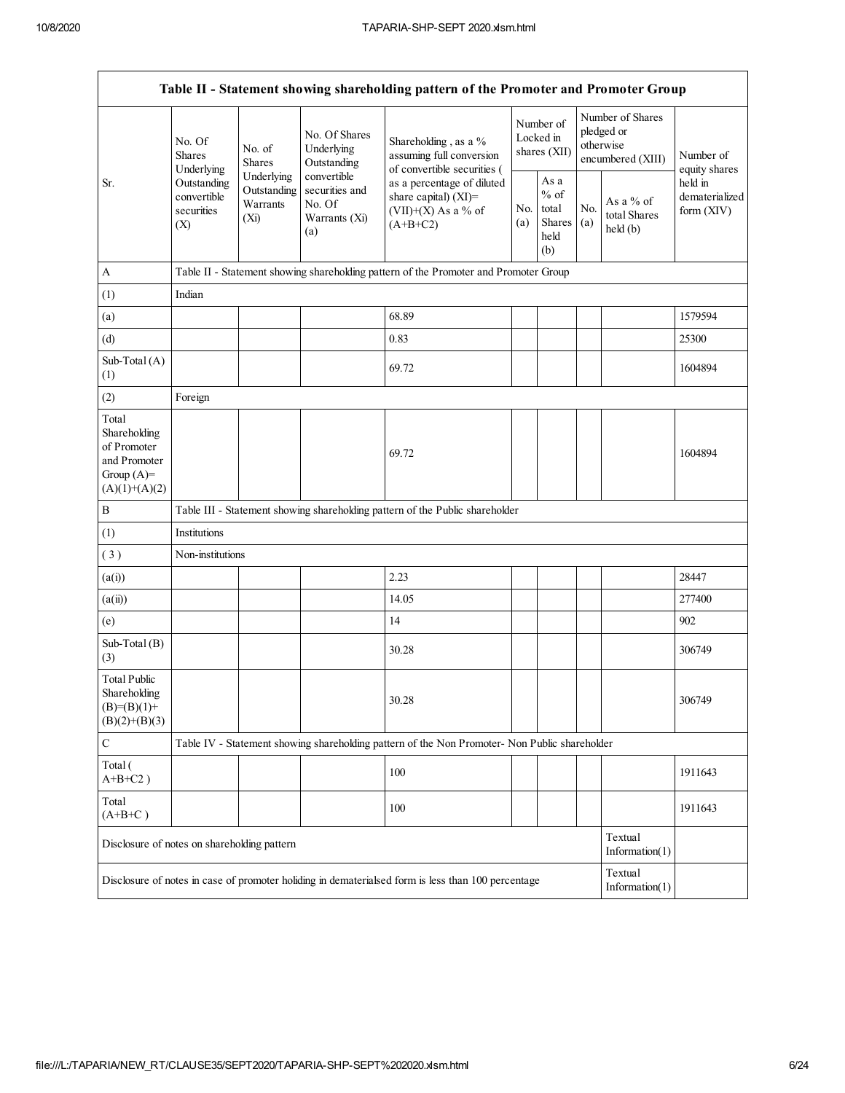|                                                                                         | Table II - Statement showing shareholding pattern of the Promoter and Promoter Group                |                         |                                                                 |                                                                                                    |                                        |                                                  |            |                                                                  |                                           |  |  |  |  |
|-----------------------------------------------------------------------------------------|-----------------------------------------------------------------------------------------------------|-------------------------|-----------------------------------------------------------------|----------------------------------------------------------------------------------------------------|----------------------------------------|--------------------------------------------------|------------|------------------------------------------------------------------|-------------------------------------------|--|--|--|--|
|                                                                                         | No. Of<br>Shares<br>Underlying                                                                      | No. of<br><b>Shares</b> | No. Of Shares<br>Underlying<br>Outstanding                      | Shareholding, as a %<br>assuming full conversion<br>of convertible securities (                    | Number of<br>Locked in<br>shares (XII) |                                                  |            | Number of Shares<br>pledged or<br>otherwise<br>encumbered (XIII) | Number of<br>equity shares                |  |  |  |  |
| Sr.                                                                                     | Underlying<br>Outstanding<br>Outstanding<br>convertible<br>Warrants<br>securities<br>$(X_i)$<br>(X) |                         | convertible<br>securities and<br>No. Of<br>Warrants (Xi)<br>(a) | as a percentage of diluted<br>share capital) (XI)=<br>$(VII)+(X)$ As a % of<br>$(A+B+C2)$          |                                        | As a<br>$%$ of<br>total<br>Shares<br>held<br>(b) | No.<br>(a) | As a % of<br>total Shares<br>held(b)                             | held in<br>dematerialized<br>form $(XIV)$ |  |  |  |  |
| $\boldsymbol{A}$                                                                        |                                                                                                     |                         |                                                                 | Table II - Statement showing shareholding pattern of the Promoter and Promoter Group               |                                        |                                                  |            |                                                                  |                                           |  |  |  |  |
| (1)                                                                                     | Indian                                                                                              |                         |                                                                 |                                                                                                    |                                        |                                                  |            |                                                                  |                                           |  |  |  |  |
| (a)                                                                                     |                                                                                                     |                         |                                                                 | 68.89                                                                                              |                                        |                                                  |            |                                                                  | 1579594                                   |  |  |  |  |
| (d)                                                                                     |                                                                                                     |                         |                                                                 | 0.83                                                                                               |                                        |                                                  |            |                                                                  | 25300                                     |  |  |  |  |
| Sub-Total (A)<br>(1)                                                                    |                                                                                                     |                         |                                                                 | 69.72                                                                                              |                                        |                                                  |            |                                                                  | 1604894                                   |  |  |  |  |
| (2)                                                                                     | Foreign                                                                                             |                         |                                                                 |                                                                                                    |                                        |                                                  |            |                                                                  |                                           |  |  |  |  |
| Total<br>Shareholding<br>of Promoter<br>and Promoter<br>Group $(A)=$<br>$(A)(1)+(A)(2)$ |                                                                                                     |                         |                                                                 | 69.72                                                                                              |                                        |                                                  |            |                                                                  | 1604894                                   |  |  |  |  |
| B                                                                                       |                                                                                                     |                         |                                                                 | Table III - Statement showing shareholding pattern of the Public shareholder                       |                                        |                                                  |            |                                                                  |                                           |  |  |  |  |
| (1)                                                                                     | Institutions                                                                                        |                         |                                                                 |                                                                                                    |                                        |                                                  |            |                                                                  |                                           |  |  |  |  |
| (3)                                                                                     | Non-institutions                                                                                    |                         |                                                                 |                                                                                                    |                                        |                                                  |            |                                                                  |                                           |  |  |  |  |
| (a(i))                                                                                  |                                                                                                     |                         |                                                                 | 2.23                                                                                               |                                        |                                                  |            |                                                                  | 28447                                     |  |  |  |  |
| (a(ii))                                                                                 |                                                                                                     |                         |                                                                 | 14.05                                                                                              |                                        |                                                  |            |                                                                  | 277400                                    |  |  |  |  |
| (e)                                                                                     |                                                                                                     |                         |                                                                 | 14                                                                                                 |                                        |                                                  |            |                                                                  | 902                                       |  |  |  |  |
| Sub-Total (B)<br>(3)                                                                    |                                                                                                     |                         |                                                                 | 30.28                                                                                              |                                        |                                                  |            |                                                                  | 306749                                    |  |  |  |  |
| <b>Total Public</b><br>Shareholding<br>$(B)= (B)(1) +$<br>$(B)(2)+(B)(3)$               |                                                                                                     |                         |                                                                 | 30.28                                                                                              |                                        |                                                  |            |                                                                  | 306749                                    |  |  |  |  |
| $\mathbf C$                                                                             |                                                                                                     |                         |                                                                 | Table IV - Statement showing shareholding pattern of the Non Promoter- Non Public shareholder      |                                        |                                                  |            |                                                                  |                                           |  |  |  |  |
| Total (<br>$A+B+C2$ )                                                                   |                                                                                                     |                         |                                                                 | 100                                                                                                |                                        |                                                  |            |                                                                  | 1911643                                   |  |  |  |  |
| Total<br>$(A+B+C)$                                                                      |                                                                                                     |                         |                                                                 | 100                                                                                                |                                        |                                                  |            |                                                                  | 1911643                                   |  |  |  |  |
| Disclosure of notes on shareholding pattern                                             |                                                                                                     |                         |                                                                 |                                                                                                    |                                        |                                                  |            | Textual<br>Information(1)                                        |                                           |  |  |  |  |
|                                                                                         |                                                                                                     |                         |                                                                 | Disclosure of notes in case of promoter holiding in dematerialsed form is less than 100 percentage |                                        |                                                  |            | Textual<br>Information(1)                                        |                                           |  |  |  |  |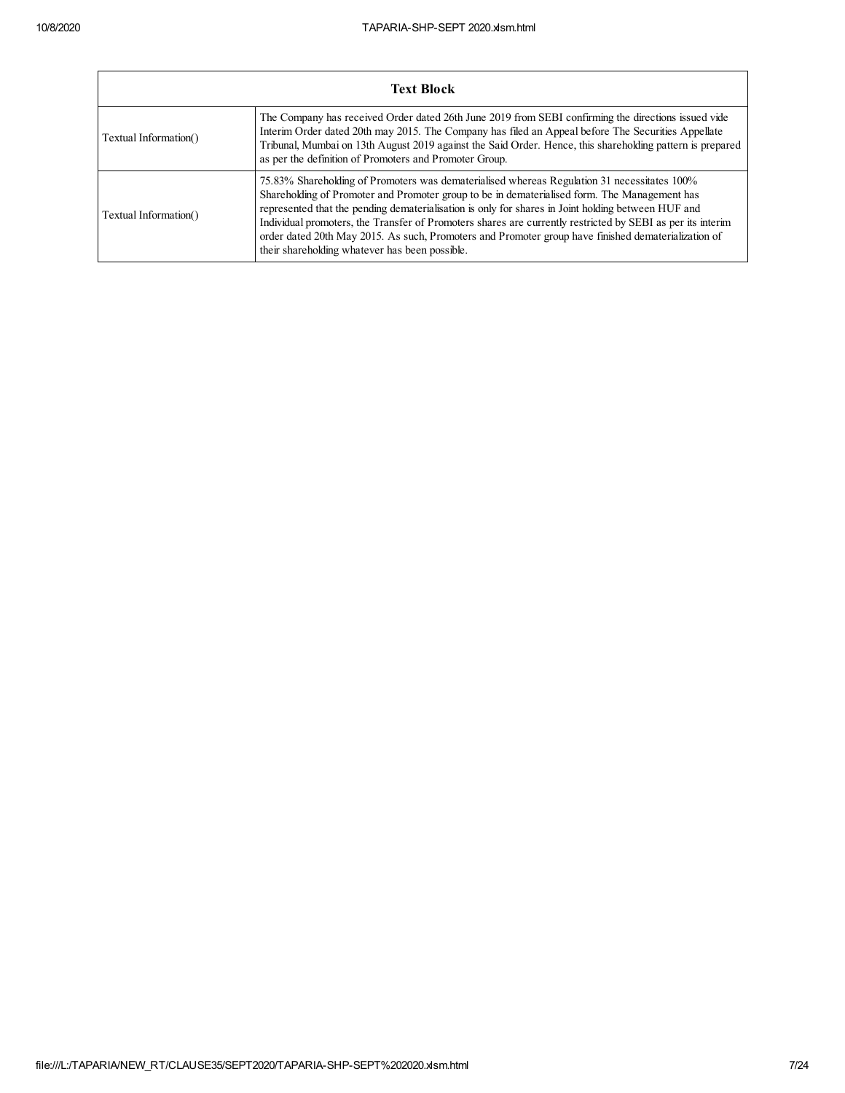$\mathbf{r}$ 

| <b>Text Block</b>     |                                                                                                                                                                                                                                                                                                                                                                                                                                                                                                                                                                          |  |  |  |  |  |  |  |  |
|-----------------------|--------------------------------------------------------------------------------------------------------------------------------------------------------------------------------------------------------------------------------------------------------------------------------------------------------------------------------------------------------------------------------------------------------------------------------------------------------------------------------------------------------------------------------------------------------------------------|--|--|--|--|--|--|--|--|
| Textual Information() | The Company has received Order dated 26th June 2019 from SEBI confirming the directions issued vide<br>Interim Order dated 20th may 2015. The Company has filed an Appeal before The Securities Appellate<br>Tribunal, Mumbai on 13th August 2019 against the Said Order. Hence, this shareholding pattern is prepared<br>as per the definition of Promoters and Promoter Group.                                                                                                                                                                                         |  |  |  |  |  |  |  |  |
| Textual Information() | 75.83% Shareholding of Promoters was dematerialised whereas Regulation 31 necessitates 100%<br>Shareholding of Promoter and Promoter group to be in dematerialised form. The Management has<br>represented that the pending dematerialisation is only for shares in Joint holding between HUF and<br>Individual promoters, the Transfer of Promoters shares are currently restricted by SEBI as per its interim<br>order dated 20th May 2015. As such, Promoters and Promoter group have finished dematerialization of<br>their shareholding whatever has been possible. |  |  |  |  |  |  |  |  |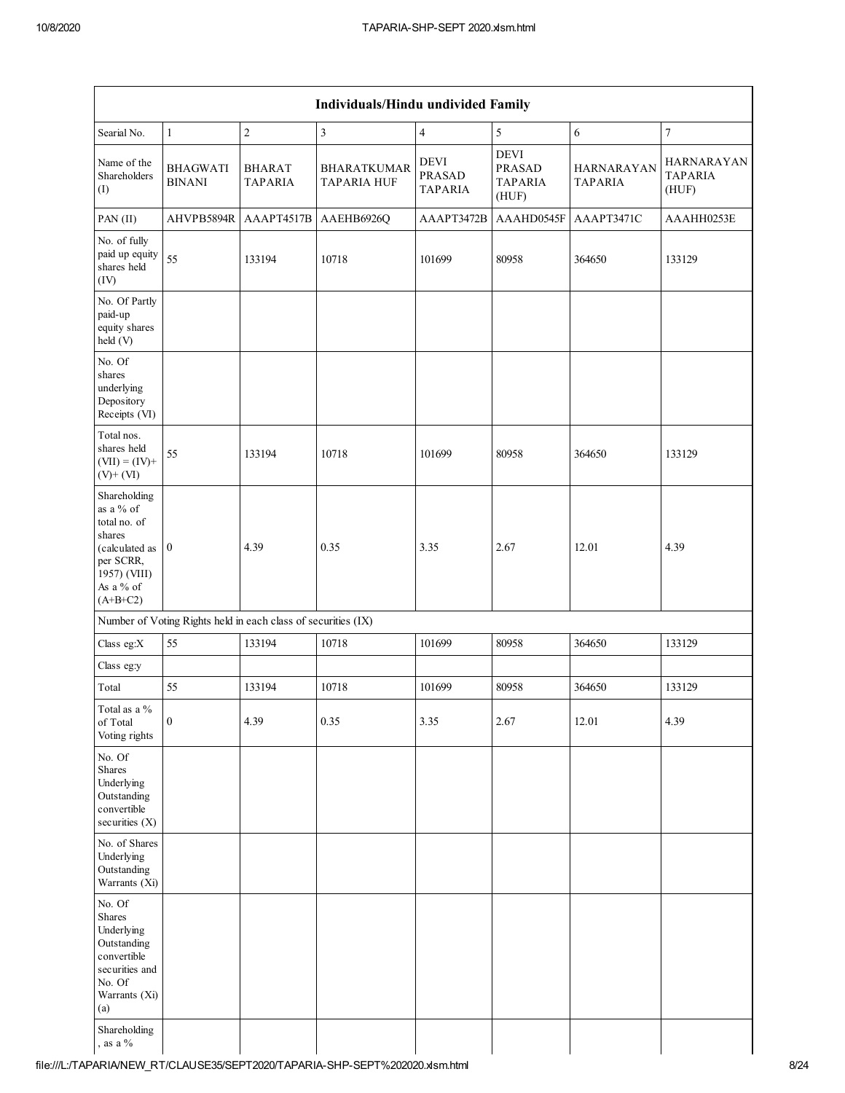Г

| Individuals/Hindu undivided Family |                          |                                          |                                                               |                                                         |                                     |                                              |  |  |  |  |  |  |
|------------------------------------|--------------------------|------------------------------------------|---------------------------------------------------------------|---------------------------------------------------------|-------------------------------------|----------------------------------------------|--|--|--|--|--|--|
| $\mathbf{1}$                       | $\overline{c}$           | $\overline{\mathbf{3}}$                  | $\overline{\mathbf{4}}$                                       | $\sqrt{5}$                                              | $\epsilon$                          | $\boldsymbol{7}$                             |  |  |  |  |  |  |
| <b>BHAGWATI</b><br><b>BINANI</b>   | <b>BHARAT</b><br>TAPARIA | <b>BHARATKUMAR</b><br><b>TAPARIA HUF</b> | <b>DEVI</b><br><b>PRASAD</b><br><b>TAPARIA</b>                | <b>DEVI</b><br><b>PRASAD</b><br><b>TAPARIA</b><br>(HUF) | <b>HARNARAYAN</b><br><b>TAPARIA</b> | <b>HARNARAYAN</b><br><b>TAPARIA</b><br>(HUF) |  |  |  |  |  |  |
| AHVPB5894R                         | AAAPT4517B               | AAEHB6926Q                               | AAAPT3472B                                                    | AAAHD0545F                                              | AAAPT3471C                          | AAAHH0253E                                   |  |  |  |  |  |  |
| 55                                 | 133194                   | 10718                                    | 101699                                                        | 80958                                                   | 364650                              | 133129                                       |  |  |  |  |  |  |
|                                    |                          |                                          |                                                               |                                                         |                                     |                                              |  |  |  |  |  |  |
|                                    |                          |                                          |                                                               |                                                         |                                     |                                              |  |  |  |  |  |  |
| 55                                 | 133194                   | 10718                                    | 101699                                                        | 80958                                                   | 364650                              | 133129                                       |  |  |  |  |  |  |
| $\boldsymbol{0}$<br>(calculated as | 4.39                     | 0.35                                     | 3.35                                                          | 2.67                                                    | 12.01                               | 4.39                                         |  |  |  |  |  |  |
|                                    |                          |                                          |                                                               |                                                         |                                     |                                              |  |  |  |  |  |  |
| 55                                 | 133194                   | 10718                                    | 101699                                                        | 80958                                                   | 364650                              | 133129                                       |  |  |  |  |  |  |
|                                    |                          |                                          |                                                               |                                                         |                                     |                                              |  |  |  |  |  |  |
| 55                                 | 133194                   | 10718                                    | 101699                                                        | 80958                                                   | 364650                              | 133129                                       |  |  |  |  |  |  |
| $\boldsymbol{0}$                   | 4.39                     | 0.35                                     | 3.35                                                          | 2.67                                                    | 12.01                               | 4.39                                         |  |  |  |  |  |  |
|                                    |                          |                                          |                                                               |                                                         |                                     |                                              |  |  |  |  |  |  |
|                                    |                          |                                          |                                                               |                                                         |                                     |                                              |  |  |  |  |  |  |
|                                    |                          |                                          |                                                               |                                                         |                                     |                                              |  |  |  |  |  |  |
|                                    |                          |                                          | Number of Voting Rights held in each class of securities (IX) |                                                         |                                     |                                              |  |  |  |  |  |  |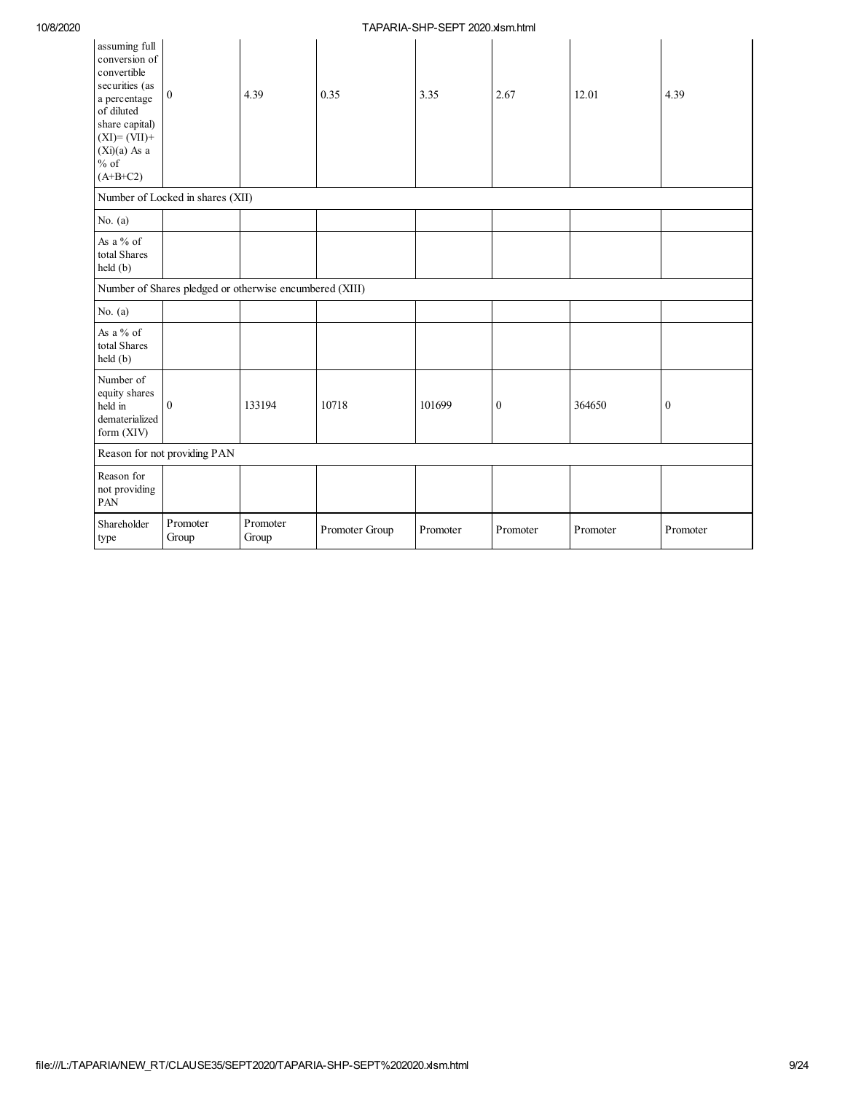| assuming full<br>conversion of<br>convertible<br>securities (as<br>a percentage<br>of diluted<br>share capital)<br>$(XI)=(VII)+$<br>$(Xi)(a)$ As a<br>$%$ of<br>$(A+B+C2)$ | $\boldsymbol{0}$                                        | 4.39              | 0.35           | 3.35     | 2.67             | 12.01    | 4.39             |
|----------------------------------------------------------------------------------------------------------------------------------------------------------------------------|---------------------------------------------------------|-------------------|----------------|----------|------------------|----------|------------------|
|                                                                                                                                                                            | Number of Locked in shares (XII)                        |                   |                |          |                  |          |                  |
| No. $(a)$                                                                                                                                                                  |                                                         |                   |                |          |                  |          |                  |
| As a % of<br>total Shares<br>held (b)                                                                                                                                      |                                                         |                   |                |          |                  |          |                  |
|                                                                                                                                                                            | Number of Shares pledged or otherwise encumbered (XIII) |                   |                |          |                  |          |                  |
| No. $(a)$                                                                                                                                                                  |                                                         |                   |                |          |                  |          |                  |
| As a % of<br>total Shares<br>held (b)                                                                                                                                      |                                                         |                   |                |          |                  |          |                  |
| Number of<br>equity shares<br>held in<br>dematerialized<br>form (XIV)                                                                                                      | $\mathbf{0}$                                            | 133194            | 10718          | 101699   | $\boldsymbol{0}$ | 364650   | $\boldsymbol{0}$ |
|                                                                                                                                                                            | Reason for not providing PAN                            |                   |                |          |                  |          |                  |
| Reason for<br>not providing<br>PAN                                                                                                                                         |                                                         |                   |                |          |                  |          |                  |
| Shareholder<br>type                                                                                                                                                        | Promoter<br>Group                                       | Promoter<br>Group | Promoter Group | Promoter | Promoter         | Promoter | Promoter         |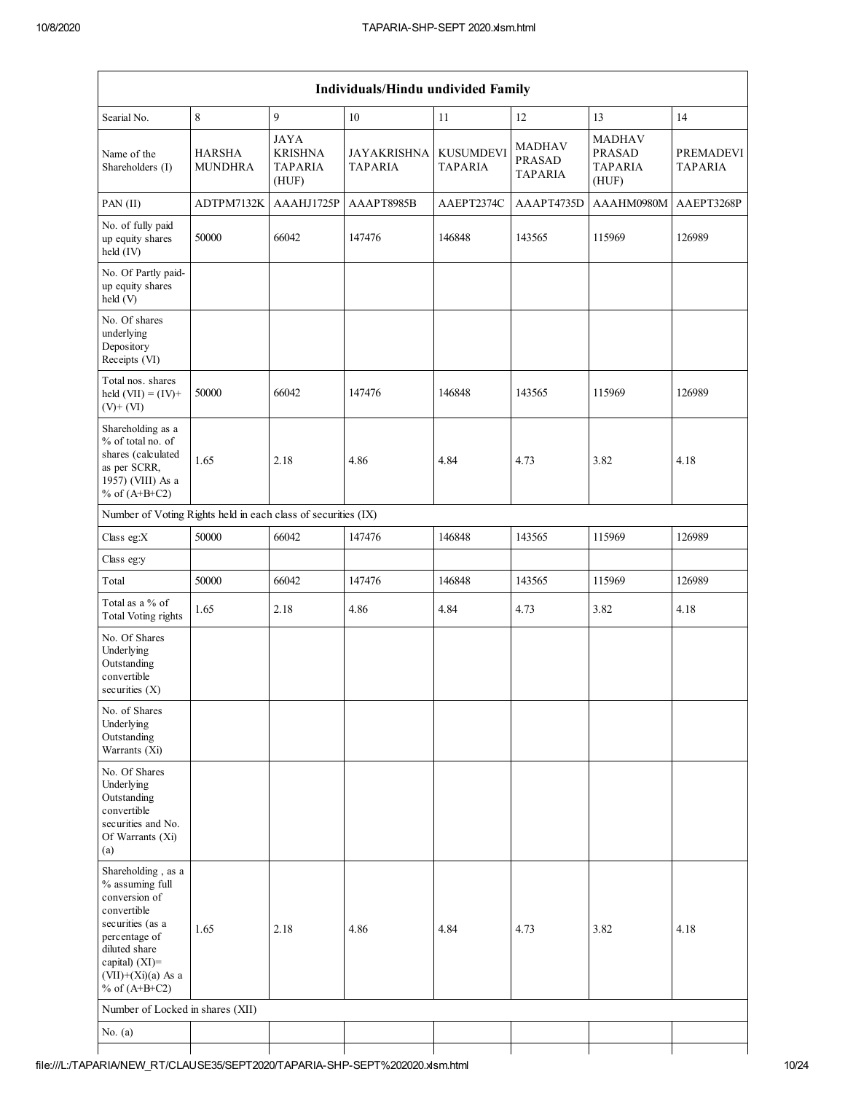| Individuals/Hindu undivided Family                                                                                                                                                          |                                 |                                                          |                                      |                                    |                                                  |                                                           |                             |  |  |  |  |
|---------------------------------------------------------------------------------------------------------------------------------------------------------------------------------------------|---------------------------------|----------------------------------------------------------|--------------------------------------|------------------------------------|--------------------------------------------------|-----------------------------------------------------------|-----------------------------|--|--|--|--|
| Searial No.                                                                                                                                                                                 | 8                               | 9                                                        | $10\,$                               | 11                                 | 12                                               | 13                                                        | 14                          |  |  |  |  |
| Name of the<br>Shareholders (I)                                                                                                                                                             | <b>HARSHA</b><br><b>MUNDHRA</b> | <b>JAYA</b><br><b>KRISHNA</b><br><b>TAPARIA</b><br>(HUF) | <b>JAYAKRISHNA</b><br><b>TAPARIA</b> | <b>KUSUMDEVI</b><br><b>TAPARIA</b> | <b>MADHAV</b><br><b>PRASAD</b><br><b>TAPARIA</b> | <b>MADHAV</b><br><b>PRASAD</b><br><b>TAPARIA</b><br>(HUF) | PREMADEVI<br><b>TAPARIA</b> |  |  |  |  |
| PAN (II)                                                                                                                                                                                    | ADTPM7132K                      | AAAHJ1725P                                               | AAAPT8985B                           | AAEPT2374C                         | AAAPT4735D                                       | AAAHM0980M                                                | AAEPT3268P                  |  |  |  |  |
| No. of fully paid<br>up equity shares<br>held (IV)                                                                                                                                          | 50000                           | 66042                                                    | 147476                               | 146848                             | 143565                                           | 115969                                                    | 126989                      |  |  |  |  |
| No. Of Partly paid-<br>up equity shares<br>held (V)                                                                                                                                         |                                 |                                                          |                                      |                                    |                                                  |                                                           |                             |  |  |  |  |
| No. Of shares<br>underlying<br>Depository<br>Receipts (VI)                                                                                                                                  |                                 |                                                          |                                      |                                    |                                                  |                                                           |                             |  |  |  |  |
| Total nos. shares<br>held $(VII) = (IV) +$<br>$(V)+(VI)$                                                                                                                                    | 50000                           | 66042                                                    | 147476                               | 146848                             | 143565                                           | 115969                                                    | 126989                      |  |  |  |  |
| Shareholding as a<br>% of total no. of<br>shares (calculated<br>as per SCRR,<br>1957) (VIII) As a<br>% of $(A+B+C2)$                                                                        | 1.65                            | 2.18                                                     | 4.86                                 | 4.84                               | 4.73                                             | 3.82                                                      | 4.18                        |  |  |  |  |
| Number of Voting Rights held in each class of securities (IX)                                                                                                                               |                                 |                                                          |                                      |                                    |                                                  |                                                           |                             |  |  |  |  |
| Class eg:X                                                                                                                                                                                  | 50000                           | 66042                                                    | 147476                               | 146848                             | 143565                                           | 115969                                                    | 126989                      |  |  |  |  |
| Class eg:y                                                                                                                                                                                  |                                 |                                                          |                                      |                                    |                                                  |                                                           |                             |  |  |  |  |
| Total                                                                                                                                                                                       | 50000                           | 66042                                                    | 147476                               | 146848                             | 143565                                           | 115969                                                    | 126989                      |  |  |  |  |
| Total as a % of<br><b>Total Voting rights</b>                                                                                                                                               | 1.65                            | 2.18                                                     | 4.86                                 | 4.84                               | 4.73                                             | 3.82                                                      | 4.18                        |  |  |  |  |
| No. Of Shares<br>Underlying<br>Outstanding<br>convertible<br>securities $(X)$                                                                                                               |                                 |                                                          |                                      |                                    |                                                  |                                                           |                             |  |  |  |  |
| No. of Shares<br>Underlying<br>Outstanding<br>Warrants (Xi)                                                                                                                                 |                                 |                                                          |                                      |                                    |                                                  |                                                           |                             |  |  |  |  |
| No. Of Shares<br>Underlying<br>Outstanding<br>convertible<br>securities and No.<br>Of Warrants (Xi)<br>(a)                                                                                  |                                 |                                                          |                                      |                                    |                                                  |                                                           |                             |  |  |  |  |
| Shareholding, as a<br>% assuming full<br>conversion of<br>convertible<br>securities (as a<br>percentage of<br>diluted share<br>capital) $(XI)$ =<br>$(VII)+(Xi)(a)$ As a<br>% of $(A+B+C2)$ | 1.65                            | 2.18                                                     | 4.86                                 | 4.84                               | 4.73                                             | 3.82                                                      | 4.18                        |  |  |  |  |
| Number of Locked in shares (XII)                                                                                                                                                            |                                 |                                                          |                                      |                                    |                                                  |                                                           |                             |  |  |  |  |
| No. $(a)$                                                                                                                                                                                   |                                 |                                                          |                                      |                                    |                                                  |                                                           |                             |  |  |  |  |
|                                                                                                                                                                                             |                                 |                                                          |                                      |                                    |                                                  |                                                           |                             |  |  |  |  |

Т

⅂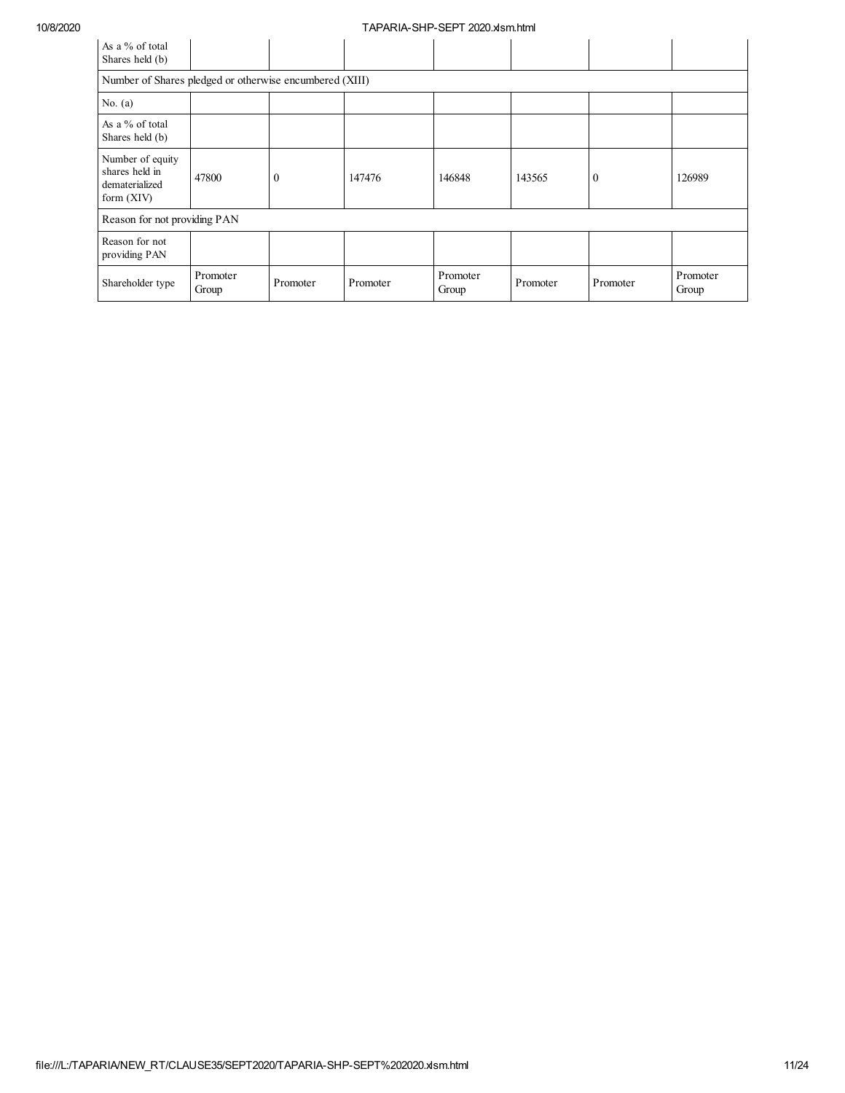| As a % of total<br>Shares held (b)                                   |                   |          |          |                   |          |          |                   |  |  |  |  |
|----------------------------------------------------------------------|-------------------|----------|----------|-------------------|----------|----------|-------------------|--|--|--|--|
| Number of Shares pledged or otherwise encumbered (XIII)              |                   |          |          |                   |          |          |                   |  |  |  |  |
| No. $(a)$                                                            |                   |          |          |                   |          |          |                   |  |  |  |  |
| As a % of total<br>Shares held (b)                                   |                   |          |          |                   |          |          |                   |  |  |  |  |
| Number of equity<br>shares held in<br>dematerialized<br>form $(XIV)$ | 47800             | $\theta$ | 147476   | 146848            | 143565   | $\Omega$ | 126989            |  |  |  |  |
| Reason for not providing PAN                                         |                   |          |          |                   |          |          |                   |  |  |  |  |
| Reason for not<br>providing PAN                                      |                   |          |          |                   |          |          |                   |  |  |  |  |
| Shareholder type                                                     | Promoter<br>Group | Promoter | Promoter | Promoter<br>Group | Promoter | Promoter | Promoter<br>Group |  |  |  |  |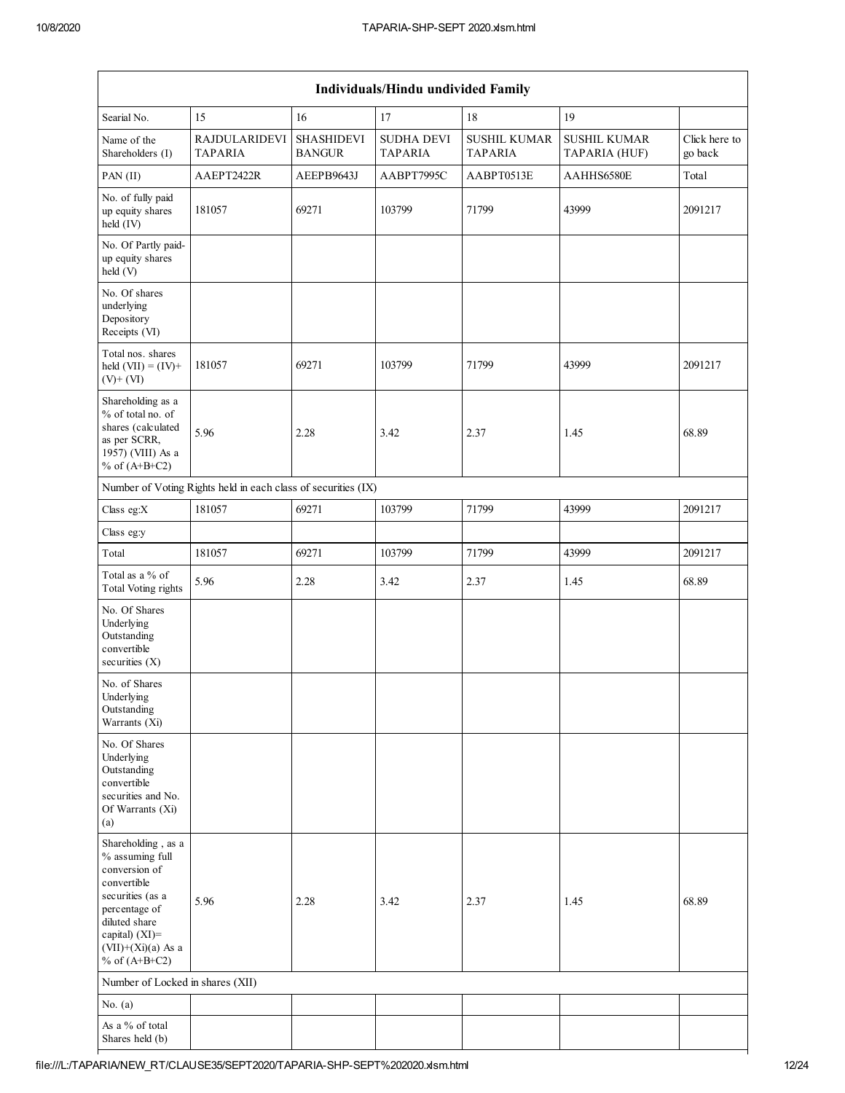| Individuals/Hindu undivided Family                                                                                                                                                          |                                                               |                                    |                                     |                                       |                                      |                          |  |
|---------------------------------------------------------------------------------------------------------------------------------------------------------------------------------------------|---------------------------------------------------------------|------------------------------------|-------------------------------------|---------------------------------------|--------------------------------------|--------------------------|--|
| Searial No.                                                                                                                                                                                 | 15                                                            | 16                                 | 17                                  | 18                                    | 19                                   |                          |  |
| Name of the<br>Shareholders (I)                                                                                                                                                             | <b>RAJDULARIDEVI</b><br>TAPARIA                               | <b>SHASHIDEVI</b><br><b>BANGUR</b> | <b>SUDHA DEVI</b><br><b>TAPARIA</b> | <b>SUSHIL KUMAR</b><br><b>TAPARIA</b> | <b>SUSHIL KUMAR</b><br>TAPARIA (HUF) | Click here to<br>go back |  |
| PAN (II)                                                                                                                                                                                    | AAEPT2422R                                                    | AEEPB9643J                         | AABPT7995C                          | AABPT0513E                            | AAHHS6580E                           | Total                    |  |
| No. of fully paid<br>up equity shares<br>$held$ (IV)                                                                                                                                        | 181057                                                        | 69271                              | 103799                              | 71799                                 | 43999                                | 2091217                  |  |
| No. Of Partly paid-<br>up equity shares<br>held (V)                                                                                                                                         |                                                               |                                    |                                     |                                       |                                      |                          |  |
| No. Of shares<br>underlying<br>Depository<br>Receipts (VI)                                                                                                                                  |                                                               |                                    |                                     |                                       |                                      |                          |  |
| Total nos. shares<br>held $(VII) = (IV) +$<br>$(V)$ + $(VI)$                                                                                                                                | 181057                                                        | 69271                              | 103799                              | 71799                                 | 43999                                | 2091217                  |  |
| Shareholding as a<br>% of total no. of<br>shares (calculated<br>as per SCRR,<br>1957) (VIII) As a<br>% of $(A+B+C2)$                                                                        | 5.96                                                          | 2.28                               | 3.42                                | 2.37                                  | 1.45                                 | 68.89                    |  |
|                                                                                                                                                                                             | Number of Voting Rights held in each class of securities (IX) |                                    |                                     |                                       |                                      |                          |  |
| Class eg:X                                                                                                                                                                                  | 181057                                                        | 69271                              | 103799                              | 71799                                 | 43999                                | 2091217                  |  |
| Class eg:y                                                                                                                                                                                  |                                                               |                                    |                                     |                                       |                                      |                          |  |
| Total                                                                                                                                                                                       | 181057                                                        | 69271                              | 103799                              | 71799                                 | 43999                                | 2091217                  |  |
| Total as a % of<br>Total Voting rights                                                                                                                                                      | 5.96                                                          | 2.28                               | 3.42                                | 2.37                                  | 1.45                                 | 68.89                    |  |
| No. Of Shares<br>Underlying<br>Outstanding<br>convertible<br>securities $(X)$                                                                                                               |                                                               |                                    |                                     |                                       |                                      |                          |  |
| No. of Shares<br>Underlying<br>Outstanding<br>Warrants (Xi)                                                                                                                                 |                                                               |                                    |                                     |                                       |                                      |                          |  |
| No. Of Shares<br>Underlying<br>Outstanding<br>convertible<br>securities and No.<br>Of Warrants (Xi)<br>(a)                                                                                  |                                                               |                                    |                                     |                                       |                                      |                          |  |
| Shareholding, as a<br>% assuming full<br>conversion of<br>convertible<br>securities (as a<br>percentage of<br>diluted share<br>capital) $(XI)$ =<br>$(VII)+(Xi)(a)$ As a<br>% of $(A+B+C2)$ | 5.96                                                          | 2.28                               | 3.42                                | 2.37                                  | 1.45                                 | 68.89                    |  |
| Number of Locked in shares (XII)                                                                                                                                                            |                                                               |                                    |                                     |                                       |                                      |                          |  |
| No. $(a)$                                                                                                                                                                                   |                                                               |                                    |                                     |                                       |                                      |                          |  |
| As a % of total<br>Shares held (b)                                                                                                                                                          |                                                               |                                    |                                     |                                       |                                      |                          |  |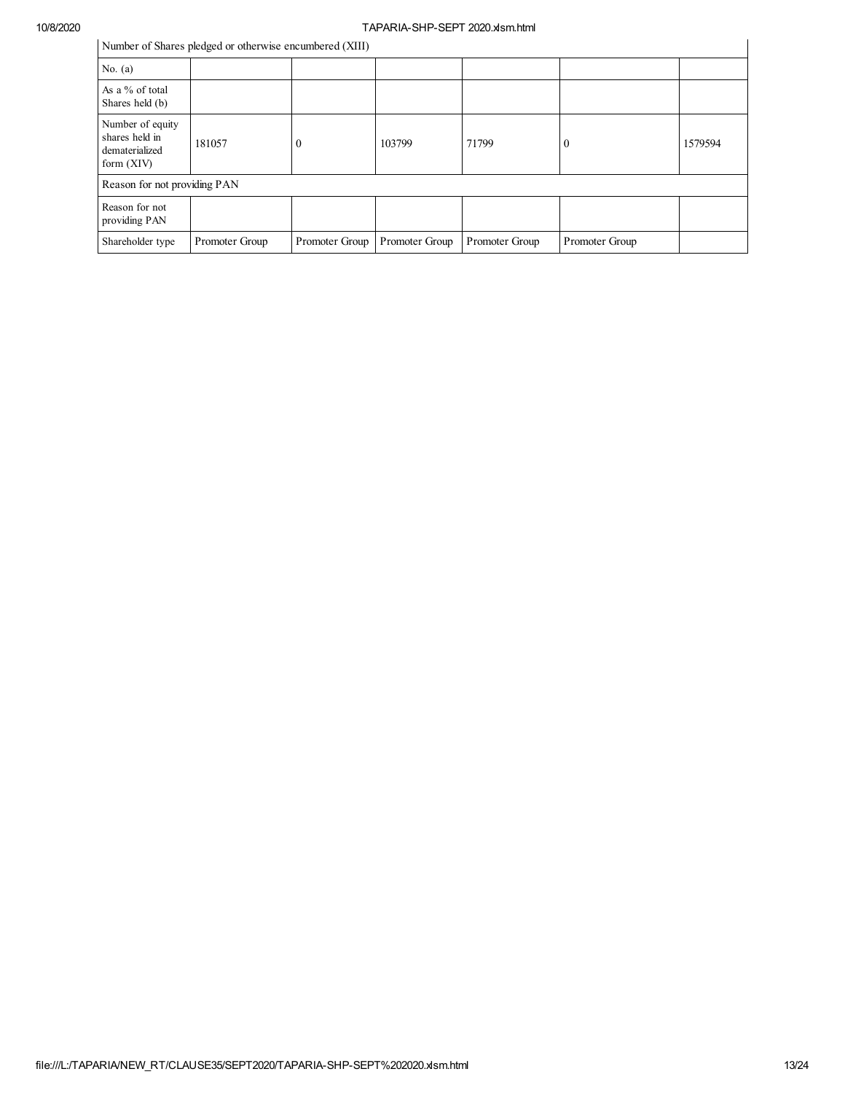Number of Shares pledged or otherwise encumbered (XIII)

| Number of Shares pledged or otherwise encumbered (XIII)              |                |                |                |                |                |         |  |
|----------------------------------------------------------------------|----------------|----------------|----------------|----------------|----------------|---------|--|
| No. $(a)$                                                            |                |                |                |                |                |         |  |
| As a % of total<br>Shares held (b)                                   |                |                |                |                |                |         |  |
| Number of equity<br>shares held in<br>dematerialized<br>form $(XIV)$ | 181057         | O              | 103799         | 71799          | 0              | 1579594 |  |
| Reason for not providing PAN                                         |                |                |                |                |                |         |  |
| Reason for not<br>providing PAN                                      |                |                |                |                |                |         |  |
| Shareholder type                                                     | Promoter Group | Promoter Group | Promoter Group | Promoter Group | Promoter Group |         |  |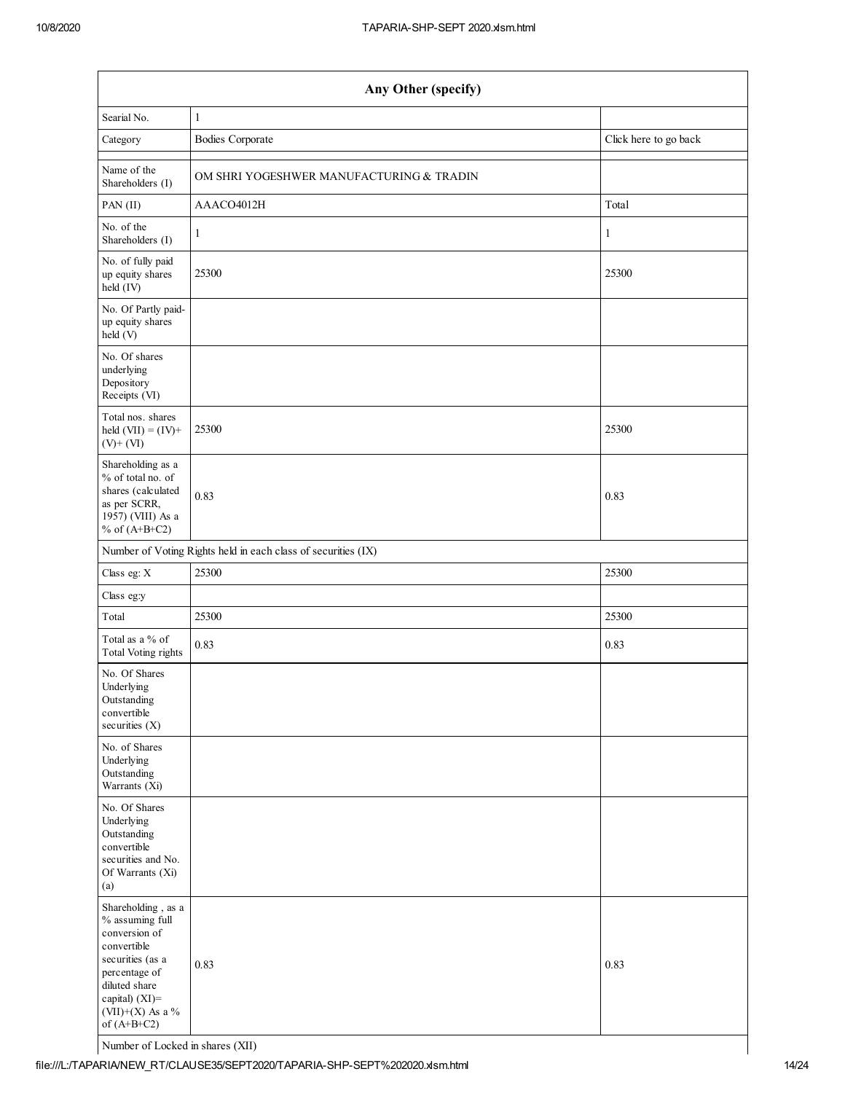| Any Other (specify)                                                                                                                                                                |                                          |                       |  |  |  |  |  |  |
|------------------------------------------------------------------------------------------------------------------------------------------------------------------------------------|------------------------------------------|-----------------------|--|--|--|--|--|--|
| Searial No.                                                                                                                                                                        | $\mathbf{1}$                             |                       |  |  |  |  |  |  |
| Category                                                                                                                                                                           | <b>Bodies Corporate</b>                  | Click here to go back |  |  |  |  |  |  |
| Name of the<br>Shareholders (I)                                                                                                                                                    | OM SHRI YOGESHWER MANUFACTURING & TRADIN |                       |  |  |  |  |  |  |
| PAN(II)                                                                                                                                                                            | AAACO4012H                               | Total                 |  |  |  |  |  |  |
| No. of the<br>Shareholders (I)                                                                                                                                                     | 1                                        | 1                     |  |  |  |  |  |  |
| No. of fully paid<br>up equity shares<br>held (IV)                                                                                                                                 | 25300                                    | 25300                 |  |  |  |  |  |  |
| No. Of Partly paid-<br>up equity shares<br>held (V)                                                                                                                                |                                          |                       |  |  |  |  |  |  |
| No. Of shares<br>underlying<br>Depository<br>Receipts (VI)                                                                                                                         |                                          |                       |  |  |  |  |  |  |
| Total nos. shares<br>held $(VII) = (IV) +$<br>$(V)$ + $(VI)$                                                                                                                       | 25300                                    | 25300                 |  |  |  |  |  |  |
| Shareholding as a<br>% of total no. of<br>shares (calculated<br>as per SCRR,<br>1957) (VIII) As a<br>% of $(A+B+C2)$                                                               | 0.83                                     | 0.83                  |  |  |  |  |  |  |
| Number of Voting Rights held in each class of securities (IX)                                                                                                                      |                                          |                       |  |  |  |  |  |  |
| Class eg: X                                                                                                                                                                        | 25300                                    | 25300                 |  |  |  |  |  |  |
| Class eg:y                                                                                                                                                                         |                                          |                       |  |  |  |  |  |  |
| Total                                                                                                                                                                              | 25300                                    | 25300                 |  |  |  |  |  |  |
| Total as a % of<br><b>Total Voting rights</b>                                                                                                                                      | 0.83                                     | 0.83                  |  |  |  |  |  |  |
| No. Of Shares<br>Underlying<br>Outstanding<br>convertible<br>securities (X)                                                                                                        |                                          |                       |  |  |  |  |  |  |
| No. of Shares<br>Underlying<br>Outstanding<br>Warrants (Xi)                                                                                                                        |                                          |                       |  |  |  |  |  |  |
| No. Of Shares<br>Underlying<br>Outstanding<br>convertible<br>securities and No.<br>Of Warrants (Xi)<br>(a)                                                                         |                                          |                       |  |  |  |  |  |  |
| Shareholding, as a<br>% assuming full<br>conversion of<br>convertible<br>securities (as a<br>percentage of<br>diluted share<br>capital) (XI)=<br>(VII)+(X) As a %<br>of $(A+B+C2)$ | 0.83                                     | 0.83                  |  |  |  |  |  |  |

Number of Locked in shares (XII)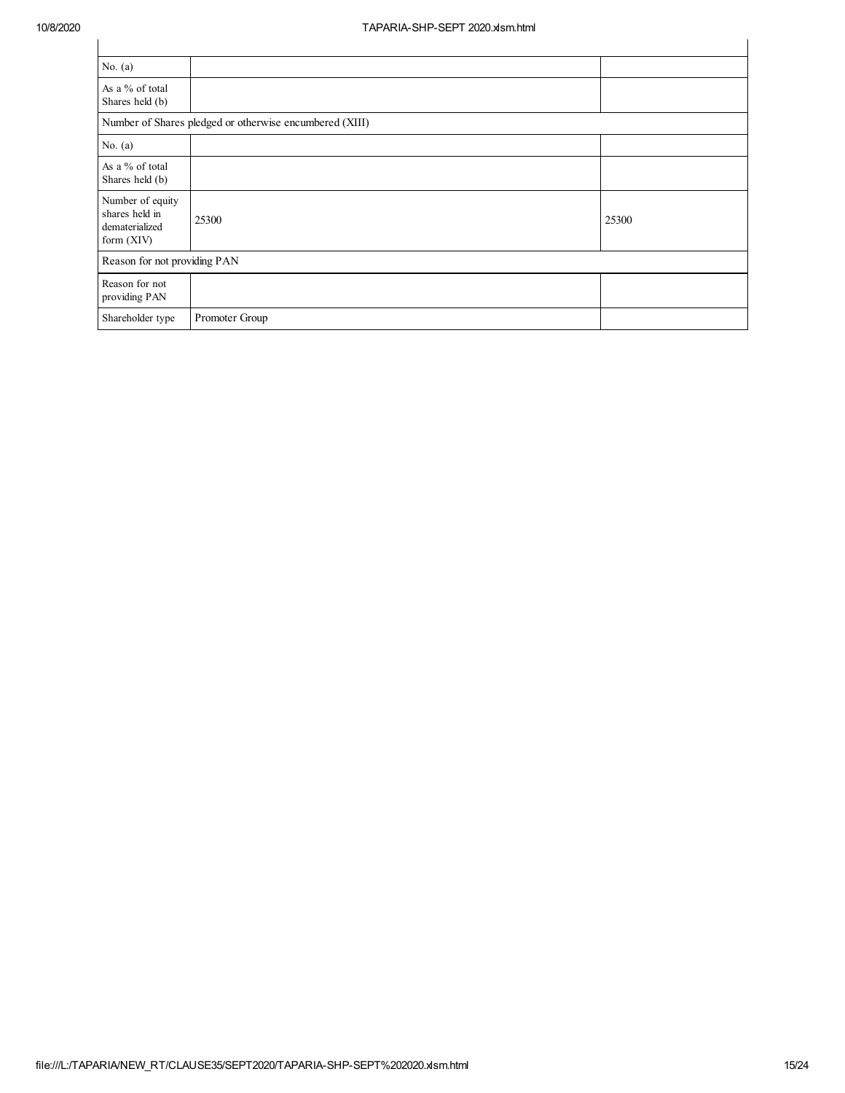| No. $(a)$                                                          |                |       |  |  |  |  |
|--------------------------------------------------------------------|----------------|-------|--|--|--|--|
| As a % of total<br>Shares held (b)                                 |                |       |  |  |  |  |
| Number of Shares pledged or otherwise encumbered (XIII)            |                |       |  |  |  |  |
| No. $(a)$                                                          |                |       |  |  |  |  |
| As a % of total<br>Shares held (b)                                 |                |       |  |  |  |  |
| Number of equity<br>shares held in<br>dematerialized<br>form (XIV) | 25300          | 25300 |  |  |  |  |
| Reason for not providing PAN                                       |                |       |  |  |  |  |
| Reason for not<br>providing PAN                                    |                |       |  |  |  |  |
| Shareholder type                                                   | Promoter Group |       |  |  |  |  |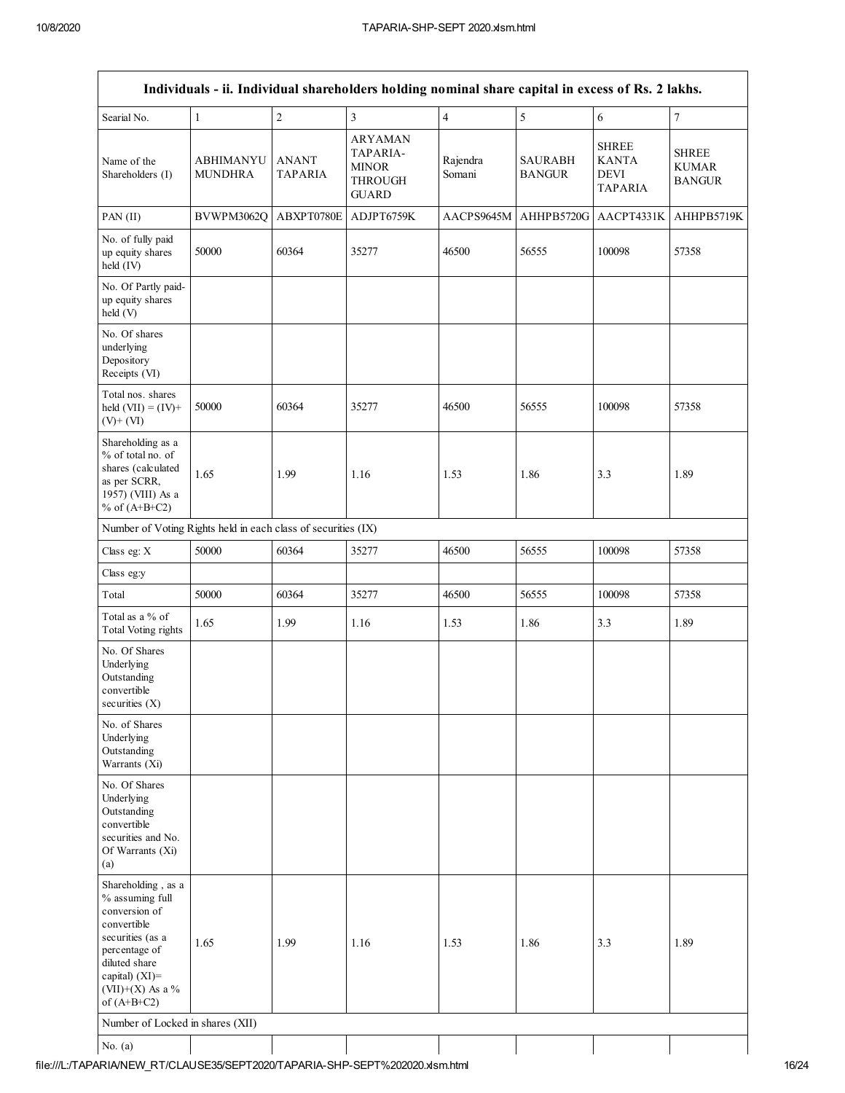| Searial No.<br>Name of the<br>Shareholders (I)<br>PAN (II)<br>No. of fully paid<br>up equity shares<br>held (IV)<br>No. Of Partly paid-<br>up equity shares<br>held (V)<br>No. Of shares<br>underlying<br>Depository<br>Receipts (VI)<br>Total nos. shares<br>held $(VII) = (IV) +$<br>$(V)$ + $(VI)$<br>Shareholding as a<br>% of total no. of<br>shares (calculated<br>as per SCRR,<br>1957) (VIII) As a<br>% of $(A+B+C2)$<br>Number of Voting Rights held in each class of securities (IX)<br>Class eg: X<br>Class eg:y<br>Total<br>Total as a % of<br><b>Total Voting rights</b><br>No. Of Shares<br>Underlying<br>Outstanding<br>convertible<br>securities (X) | 1<br><b>ABHIMANYU</b><br><b>MUNDHRA</b><br>BVWPM3062Q<br>50000<br>50000<br>1.65 | $\sqrt{2}$<br><b>ANANT</b><br><b>TAPARIA</b><br>ABXPT0780E<br>60364<br>60364 | $\overline{\mathbf{3}}$<br><b>ARYAMAN</b><br>TAPARIA-<br><b>MINOR</b><br>THROUGH<br><b>GUARD</b><br>ADJPT6759K<br>35277 | $\overline{4}$<br>Rajendra<br>Somani<br>AACPS9645M<br>46500 | 5<br><b>SAURABH</b><br><b>BANGUR</b><br>56555 | 6<br><b>SHREE</b><br><b>KANTA</b><br><b>DEVI</b><br><b>TAPARIA</b><br>AHHPB5720G AACPT4331K<br>100098 | $\overline{7}$<br><b>SHREE</b><br><b>KUMAR</b><br><b>BANGUR</b><br>AHHPB5719K<br>57358 |
|----------------------------------------------------------------------------------------------------------------------------------------------------------------------------------------------------------------------------------------------------------------------------------------------------------------------------------------------------------------------------------------------------------------------------------------------------------------------------------------------------------------------------------------------------------------------------------------------------------------------------------------------------------------------|---------------------------------------------------------------------------------|------------------------------------------------------------------------------|-------------------------------------------------------------------------------------------------------------------------|-------------------------------------------------------------|-----------------------------------------------|-------------------------------------------------------------------------------------------------------|----------------------------------------------------------------------------------------|
|                                                                                                                                                                                                                                                                                                                                                                                                                                                                                                                                                                                                                                                                      |                                                                                 |                                                                              |                                                                                                                         |                                                             |                                               |                                                                                                       |                                                                                        |
|                                                                                                                                                                                                                                                                                                                                                                                                                                                                                                                                                                                                                                                                      |                                                                                 |                                                                              |                                                                                                                         |                                                             |                                               |                                                                                                       |                                                                                        |
|                                                                                                                                                                                                                                                                                                                                                                                                                                                                                                                                                                                                                                                                      |                                                                                 |                                                                              |                                                                                                                         |                                                             |                                               |                                                                                                       |                                                                                        |
|                                                                                                                                                                                                                                                                                                                                                                                                                                                                                                                                                                                                                                                                      |                                                                                 |                                                                              |                                                                                                                         |                                                             |                                               |                                                                                                       |                                                                                        |
|                                                                                                                                                                                                                                                                                                                                                                                                                                                                                                                                                                                                                                                                      |                                                                                 |                                                                              |                                                                                                                         |                                                             |                                               |                                                                                                       |                                                                                        |
|                                                                                                                                                                                                                                                                                                                                                                                                                                                                                                                                                                                                                                                                      |                                                                                 |                                                                              |                                                                                                                         |                                                             |                                               |                                                                                                       |                                                                                        |
|                                                                                                                                                                                                                                                                                                                                                                                                                                                                                                                                                                                                                                                                      |                                                                                 |                                                                              | 35277                                                                                                                   | 46500                                                       | 56555                                         | 100098                                                                                                | 57358                                                                                  |
|                                                                                                                                                                                                                                                                                                                                                                                                                                                                                                                                                                                                                                                                      |                                                                                 | 1.99                                                                         | 1.16                                                                                                                    | 1.53                                                        | 1.86                                          | 3.3                                                                                                   | 1.89                                                                                   |
|                                                                                                                                                                                                                                                                                                                                                                                                                                                                                                                                                                                                                                                                      |                                                                                 |                                                                              |                                                                                                                         |                                                             |                                               |                                                                                                       |                                                                                        |
|                                                                                                                                                                                                                                                                                                                                                                                                                                                                                                                                                                                                                                                                      | 50000                                                                           | 60364                                                                        | 35277                                                                                                                   | 46500                                                       | 56555                                         | 100098                                                                                                | 57358                                                                                  |
|                                                                                                                                                                                                                                                                                                                                                                                                                                                                                                                                                                                                                                                                      |                                                                                 |                                                                              |                                                                                                                         |                                                             |                                               |                                                                                                       |                                                                                        |
|                                                                                                                                                                                                                                                                                                                                                                                                                                                                                                                                                                                                                                                                      | 50000                                                                           | 60364                                                                        | 35277                                                                                                                   | 46500                                                       | 56555                                         | 100098                                                                                                | 57358                                                                                  |
|                                                                                                                                                                                                                                                                                                                                                                                                                                                                                                                                                                                                                                                                      | 1.65                                                                            | 1.99                                                                         | 1.16                                                                                                                    | 1.53                                                        | 1.86                                          | 3.3                                                                                                   | 1.89                                                                                   |
|                                                                                                                                                                                                                                                                                                                                                                                                                                                                                                                                                                                                                                                                      |                                                                                 |                                                                              |                                                                                                                         |                                                             |                                               |                                                                                                       |                                                                                        |
| No. of Shares<br>Underlying<br>Outstanding<br>Warrants (Xi)                                                                                                                                                                                                                                                                                                                                                                                                                                                                                                                                                                                                          |                                                                                 |                                                                              |                                                                                                                         |                                                             |                                               |                                                                                                       |                                                                                        |
| No. Of Shares<br>Underlying<br>Outstanding<br>convertible<br>securities and No.<br>Of Warrants (Xi)<br>(a)                                                                                                                                                                                                                                                                                                                                                                                                                                                                                                                                                           |                                                                                 |                                                                              |                                                                                                                         |                                                             |                                               |                                                                                                       |                                                                                        |
| Shareholding, as a<br>% assuming full<br>conversion of<br>convertible<br>securities (as a<br>percentage of<br>diluted share<br>capital) $(XI)$ =<br>(VII)+(X) As a %<br>of $(A+B+C2)$                                                                                                                                                                                                                                                                                                                                                                                                                                                                                | 1.65                                                                            | 1.99                                                                         | 1.16                                                                                                                    | 1.53                                                        | 1.86                                          | 3.3                                                                                                   | 1.89                                                                                   |
| Number of Locked in shares (XII)                                                                                                                                                                                                                                                                                                                                                                                                                                                                                                                                                                                                                                     |                                                                                 |                                                                              |                                                                                                                         |                                                             |                                               |                                                                                                       |                                                                                        |
| No. $(a)$                                                                                                                                                                                                                                                                                                                                                                                                                                                                                                                                                                                                                                                            |                                                                                 |                                                                              |                                                                                                                         |                                                             |                                               |                                                                                                       |                                                                                        |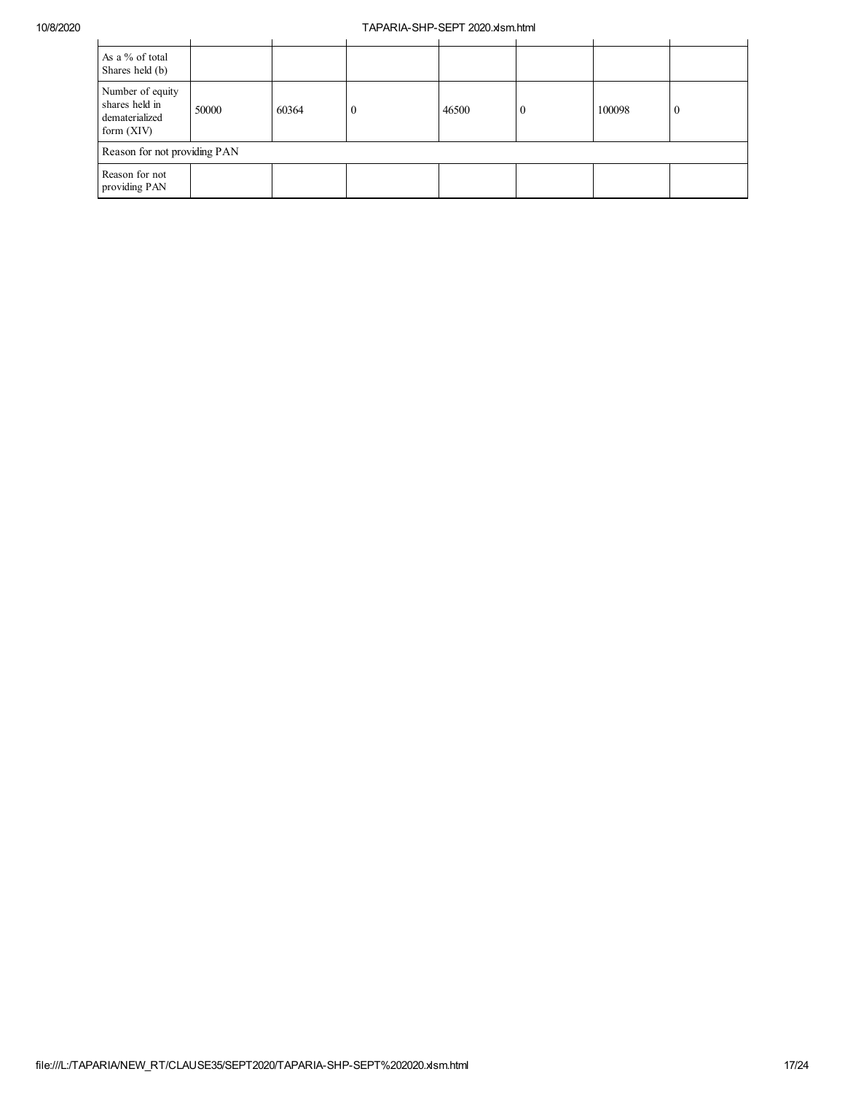| As a % of total<br>Shares held (b)                                   |       |       |          |       |  |        |                |
|----------------------------------------------------------------------|-------|-------|----------|-------|--|--------|----------------|
| Number of equity<br>shares held in<br>dematerialized<br>form $(XIV)$ | 50000 | 60364 | $\theta$ | 46500 |  | 100098 | $\overline{0}$ |
| Reason for not providing PAN                                         |       |       |          |       |  |        |                |
| Reason for not<br>providing PAN                                      |       |       |          |       |  |        |                |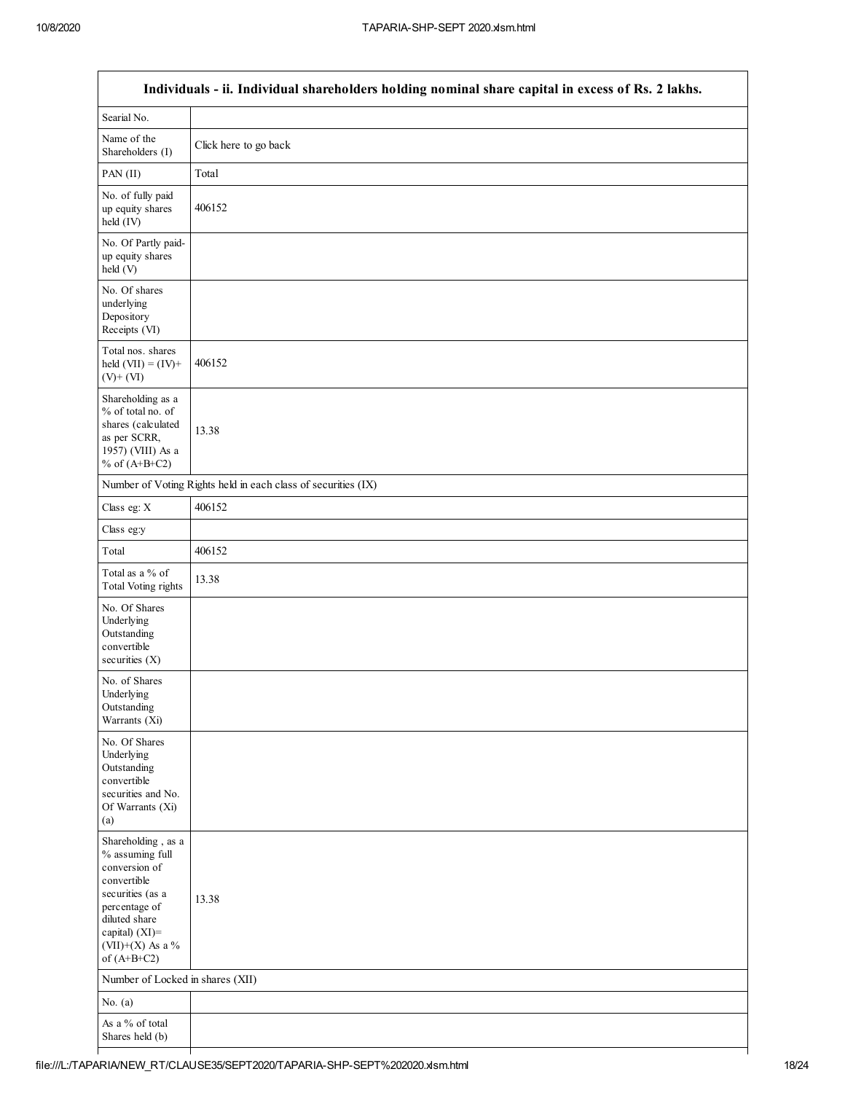|                                                                                                                                                                                         | Individuals - ii. Individual shareholders holding nominal share capital in excess of Rs. 2 lakhs. |
|-----------------------------------------------------------------------------------------------------------------------------------------------------------------------------------------|---------------------------------------------------------------------------------------------------|
| Searial No.                                                                                                                                                                             |                                                                                                   |
| Name of the<br>Shareholders (I)                                                                                                                                                         | Click here to go back                                                                             |
| PAN (II)                                                                                                                                                                                | Total                                                                                             |
| No. of fully paid<br>up equity shares<br>held (IV)                                                                                                                                      | 406152                                                                                            |
| No. Of Partly paid-<br>up equity shares<br>held (V)                                                                                                                                     |                                                                                                   |
| No. Of shares<br>underlying<br>Depository<br>Receipts (VI)                                                                                                                              |                                                                                                   |
| Total nos. shares<br>held $(VII) = (IV) +$<br>$(V)$ + $(VI)$                                                                                                                            | 406152                                                                                            |
| Shareholding as a<br>% of total no. of<br>shares (calculated<br>as per SCRR,<br>1957) (VIII) As a<br>% of $(A+B+C2)$                                                                    | 13.38                                                                                             |
|                                                                                                                                                                                         | Number of Voting Rights held in each class of securities (IX)                                     |
| Class eg: X                                                                                                                                                                             | 406152                                                                                            |
| Class eg:y                                                                                                                                                                              |                                                                                                   |
| Total                                                                                                                                                                                   | 406152                                                                                            |
| Total as a % of<br><b>Total Voting rights</b>                                                                                                                                           | 13.38                                                                                             |
| No. Of Shares<br>Underlying<br>Outstanding<br>convertible<br>securities $(X)$                                                                                                           |                                                                                                   |
| No. of Shares<br>Underlying<br>Outstanding<br>Warrants (Xi)                                                                                                                             |                                                                                                   |
| No. Of Shares<br>Underlying<br>Outstanding<br>convertible<br>securities and No.<br>Of Warrants (Xi)<br>(a)                                                                              |                                                                                                   |
| Shareholding, as a<br>% assuming full<br>conversion of<br>convertible<br>securities (as a<br>percentage of<br>diluted share<br>capital) $(XI)$ =<br>$(VII)+(X)$ As a %<br>of $(A+B+C2)$ | 13.38                                                                                             |
| Number of Locked in shares (XII)                                                                                                                                                        |                                                                                                   |
| No. $(a)$                                                                                                                                                                               |                                                                                                   |
| As a % of total<br>Shares held (b)                                                                                                                                                      |                                                                                                   |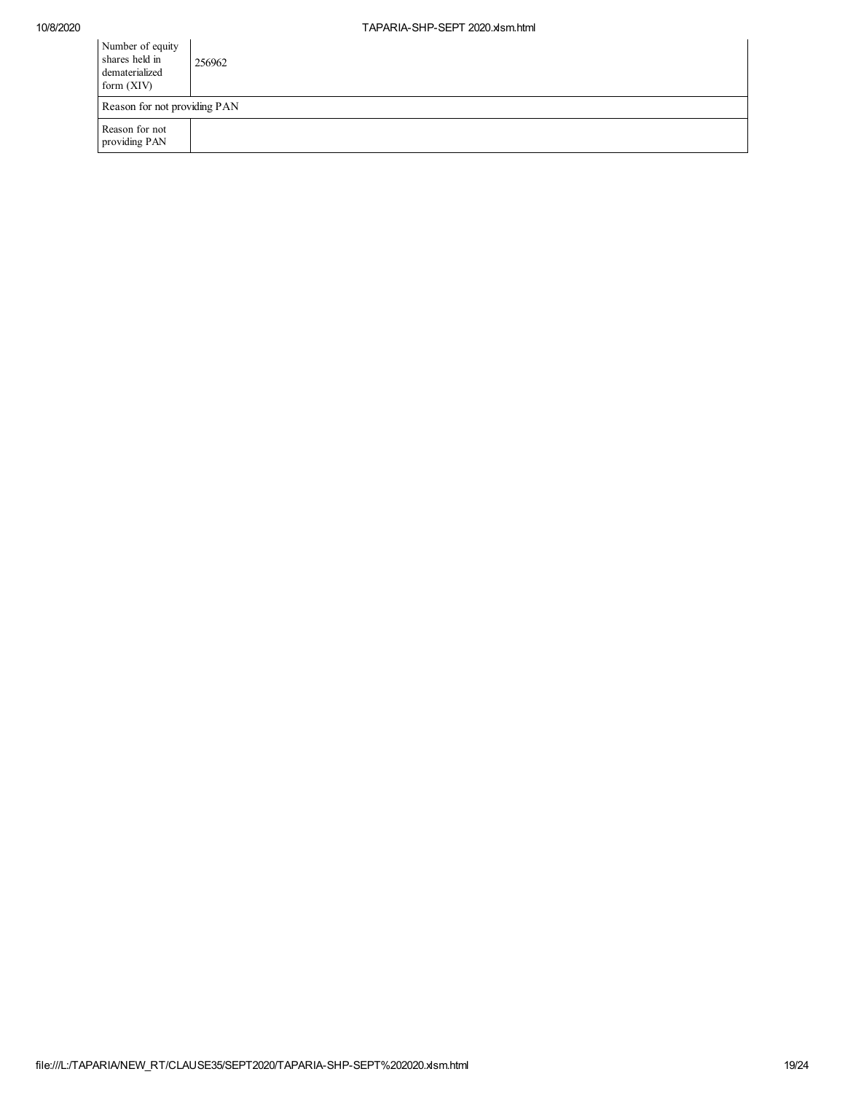| Number of equity<br>shares held in<br>dematerialized<br>form $(XIV)$ | 256962 |  |  |  |  |
|----------------------------------------------------------------------|--------|--|--|--|--|
| Reason for not providing PAN                                         |        |  |  |  |  |
| Reason for not<br>providing PAN                                      |        |  |  |  |  |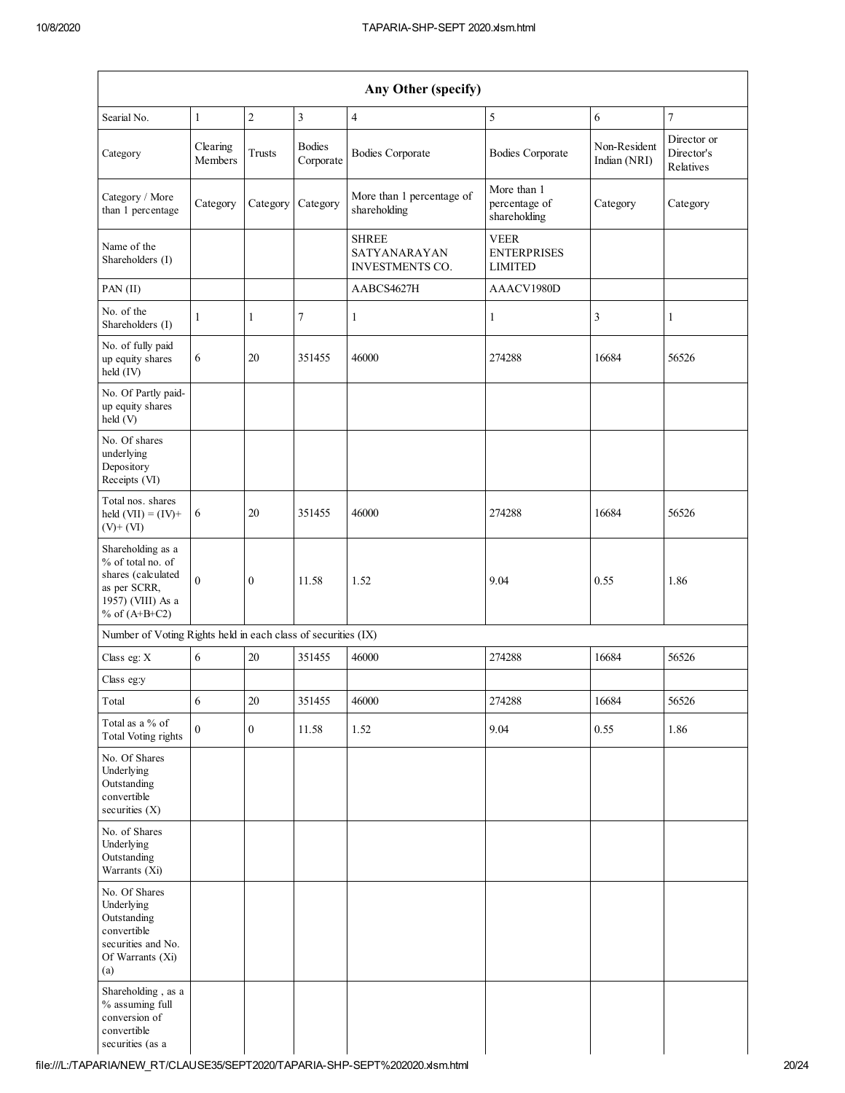| Any Other (specify)                                                                                                  |                     |               |                            |                                                        |                                                     |                              |                                        |
|----------------------------------------------------------------------------------------------------------------------|---------------------|---------------|----------------------------|--------------------------------------------------------|-----------------------------------------------------|------------------------------|----------------------------------------|
| Searial No.                                                                                                          | $\mathbf{1}$        | $\sqrt{2}$    | $\mathfrak{Z}$             | $\overline{4}$                                         | 5                                                   | 6                            | $\boldsymbol{7}$                       |
| Category                                                                                                             | Clearing<br>Members | <b>Trusts</b> | <b>Bodies</b><br>Corporate | <b>Bodies Corporate</b>                                | <b>Bodies Corporate</b>                             | Non-Resident<br>Indian (NRI) | Director or<br>Director's<br>Relatives |
| Category / More<br>than 1 percentage                                                                                 | Category            | Category      | Category                   | More than 1 percentage of<br>shareholding              | More than 1<br>percentage of<br>shareholding        | Category                     | Category                               |
| Name of the<br>Shareholders (I)                                                                                      |                     |               |                            | <b>SHREE</b><br>SATYANARAYAN<br><b>INVESTMENTS CO.</b> | <b>VEER</b><br><b>ENTERPRISES</b><br><b>LIMITED</b> |                              |                                        |
| PAN $(II)$                                                                                                           |                     |               |                            | AABCS4627H                                             | AAACV1980D                                          |                              |                                        |
| No. of the<br>Shareholders (I)                                                                                       | 1                   | $\mathbf{1}$  | 7                          | $\mathbf{1}$                                           | $\mathbf{1}$                                        | 3                            | $\mathbf{1}$                           |
| No. of fully paid<br>up equity shares<br>held (IV)                                                                   | 6                   | 20            | 351455                     | 46000                                                  | 274288                                              | 16684                        | 56526                                  |
| No. Of Partly paid-<br>up equity shares<br>held (V)                                                                  |                     |               |                            |                                                        |                                                     |                              |                                        |
| No. Of shares<br>underlying<br>Depository<br>Receipts (VI)                                                           |                     |               |                            |                                                        |                                                     |                              |                                        |
| Total nos. shares<br>held $(VII) = (IV) +$<br>$(V)$ + $(VI)$                                                         | 6                   | 20            | 351455                     | 46000                                                  | 274288                                              | 16684                        | 56526                                  |
| Shareholding as a<br>% of total no. of<br>shares (calculated<br>as per SCRR,<br>1957) (VIII) As a<br>% of $(A+B+C2)$ | $\overline{0}$      | $\mathbf{0}$  | 11.58                      | 1.52                                                   | 9.04                                                | 0.55                         | 1.86                                   |
| Number of Voting Rights held in each class of securities (IX)                                                        |                     |               |                            |                                                        |                                                     |                              |                                        |
| Class eg: X                                                                                                          | 6                   | 20            | 351455                     | 46000                                                  | 274288                                              | 16684                        | 56526                                  |
| Class eg:y                                                                                                           |                     |               |                            |                                                        |                                                     |                              |                                        |
| Total                                                                                                                | 6                   | 20            | 351455                     | 46000                                                  | 274288                                              | 16684                        | 56526                                  |
| Total as a % of<br>Total Voting rights                                                                               | $\overline{0}$      | $\mathbf{0}$  | 11.58                      | 1.52                                                   | 9.04                                                | 0.55                         | 1.86                                   |
| No. Of Shares<br>Underlying<br>Outstanding<br>convertible<br>securities (X)                                          |                     |               |                            |                                                        |                                                     |                              |                                        |
| No. of Shares<br>Underlying<br>Outstanding<br>Warrants (Xi)                                                          |                     |               |                            |                                                        |                                                     |                              |                                        |
| No. Of Shares<br>Underlying<br>Outstanding<br>convertible<br>securities and No.<br>Of Warrants (Xi)<br>(a)           |                     |               |                            |                                                        |                                                     |                              |                                        |
| Shareholding, as a<br>% assuming full<br>conversion of<br>convertible<br>securities (as a                            |                     |               |                            |                                                        |                                                     |                              |                                        |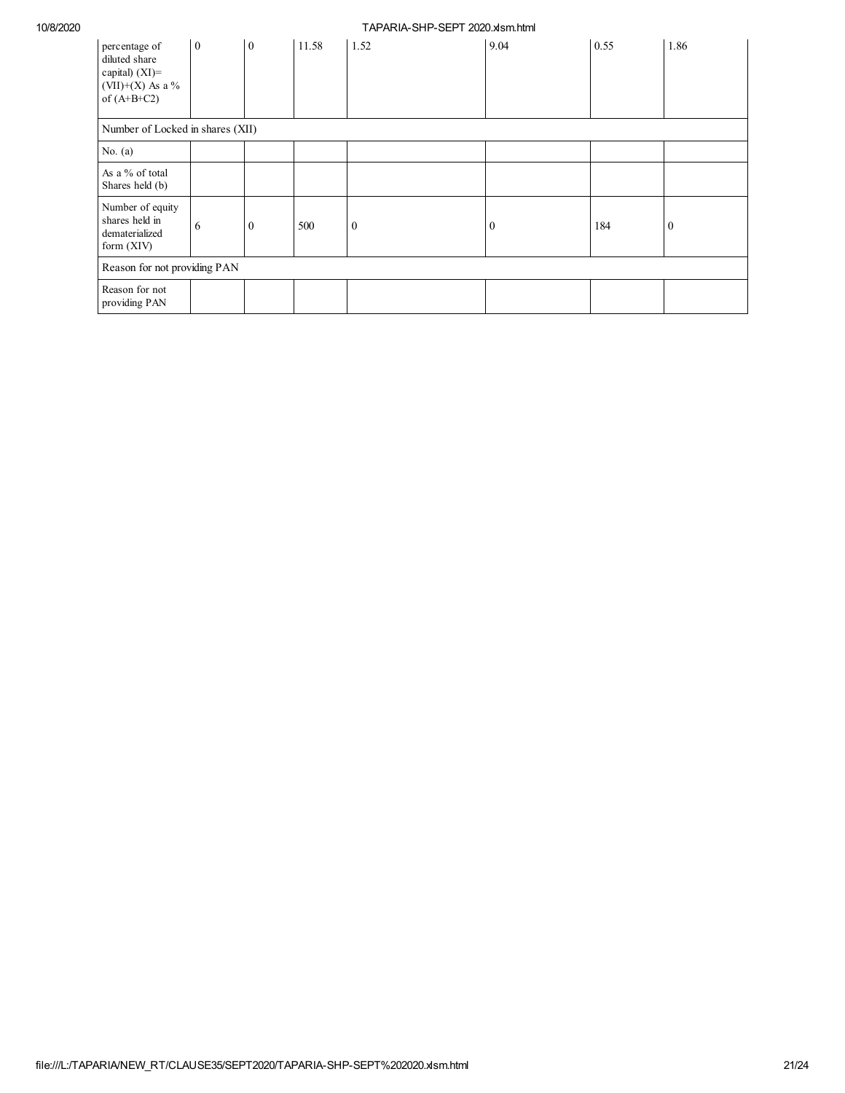| percentage of<br>diluted share<br>capital) $(XI)$ =<br>(VII)+(X) As a %<br>of $(A+B+C2)$ | $\mathbf{0}$                     | $\boldsymbol{0}$ | 11.58 | 1.52         | 9.04         | 0.55 | 1.86     |  |
|------------------------------------------------------------------------------------------|----------------------------------|------------------|-------|--------------|--------------|------|----------|--|
|                                                                                          | Number of Locked in shares (XII) |                  |       |              |              |      |          |  |
| No. $(a)$                                                                                |                                  |                  |       |              |              |      |          |  |
| As a % of total<br>Shares held (b)                                                       |                                  |                  |       |              |              |      |          |  |
| Number of equity<br>shares held in<br>dematerialized<br>form (XIV)                       | 6                                | $\mathbf{0}$     | 500   | $\mathbf{0}$ | $\mathbf{0}$ | 184  | $\bf{0}$ |  |
| Reason for not providing PAN                                                             |                                  |                  |       |              |              |      |          |  |
| Reason for not<br>providing PAN                                                          |                                  |                  |       |              |              |      |          |  |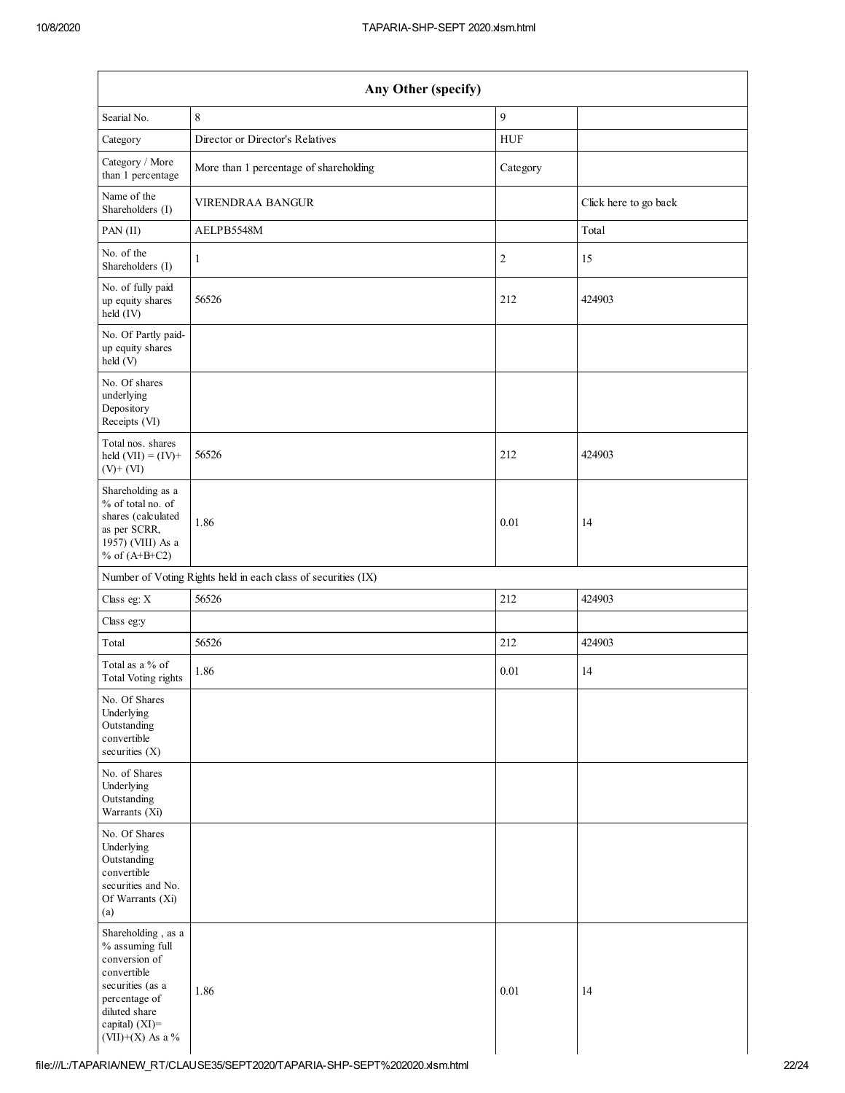| Any Other (specify)                                                                                                                                               |                                                               |                |                       |  |  |  |  |
|-------------------------------------------------------------------------------------------------------------------------------------------------------------------|---------------------------------------------------------------|----------------|-----------------------|--|--|--|--|
| Searial No.                                                                                                                                                       | $\,$ 8 $\,$                                                   | 9              |                       |  |  |  |  |
| Category                                                                                                                                                          | Director or Director's Relatives                              | <b>HUF</b>     |                       |  |  |  |  |
| Category / More<br>than 1 percentage                                                                                                                              | More than 1 percentage of shareholding                        | Category       |                       |  |  |  |  |
| Name of the<br>Shareholders (I)                                                                                                                                   | <b>VIRENDRAA BANGUR</b>                                       |                | Click here to go back |  |  |  |  |
| PAN(II)                                                                                                                                                           | AELPB5548M                                                    |                | Total                 |  |  |  |  |
| No. of the<br>Shareholders (I)                                                                                                                                    | $\mathbf{1}$                                                  | $\overline{c}$ | 15                    |  |  |  |  |
| No. of fully paid<br>up equity shares<br>held (IV)                                                                                                                | 56526                                                         | 212            | 424903                |  |  |  |  |
| No. Of Partly paid-<br>up equity shares<br>held(V)                                                                                                                |                                                               |                |                       |  |  |  |  |
| No. Of shares<br>underlying<br>Depository<br>Receipts (VI)                                                                                                        |                                                               |                |                       |  |  |  |  |
| Total nos. shares<br>held $(VII) = (IV) +$<br>$(V)$ + $(VI)$                                                                                                      | 56526                                                         | 212            | 424903                |  |  |  |  |
| Shareholding as a<br>% of total no. of<br>shares (calculated<br>as per SCRR,<br>1957) (VIII) As a<br>% of $(A+B+C2)$                                              | 1.86                                                          | 0.01           | 14                    |  |  |  |  |
|                                                                                                                                                                   | Number of Voting Rights held in each class of securities (IX) |                |                       |  |  |  |  |
| Class eg: X                                                                                                                                                       | 56526                                                         | 212            | 424903                |  |  |  |  |
| Class eg:y                                                                                                                                                        |                                                               |                |                       |  |  |  |  |
| Total                                                                                                                                                             | 56526                                                         | 212            | 424903                |  |  |  |  |
| Total as a % of<br><b>Total Voting rights</b>                                                                                                                     | 1.86                                                          | 0.01           | 14                    |  |  |  |  |
| No. Of Shares<br>Underlying<br>Outstanding<br>convertible<br>securities (X)                                                                                       |                                                               |                |                       |  |  |  |  |
| No. of Shares<br>Underlying<br>Outstanding<br>Warrants (Xi)                                                                                                       |                                                               |                |                       |  |  |  |  |
| No. Of Shares<br>Underlying<br>Outstanding<br>convertible<br>securities and No.<br>Of Warrants (Xi)<br>(a)                                                        |                                                               |                |                       |  |  |  |  |
| Shareholding, as a<br>% assuming full<br>conversion of<br>convertible<br>securities (as a<br>percentage of<br>diluted share<br>capital) (XI)=<br>(VII)+(X) As a % | 1.86                                                          | 0.01           | 14                    |  |  |  |  |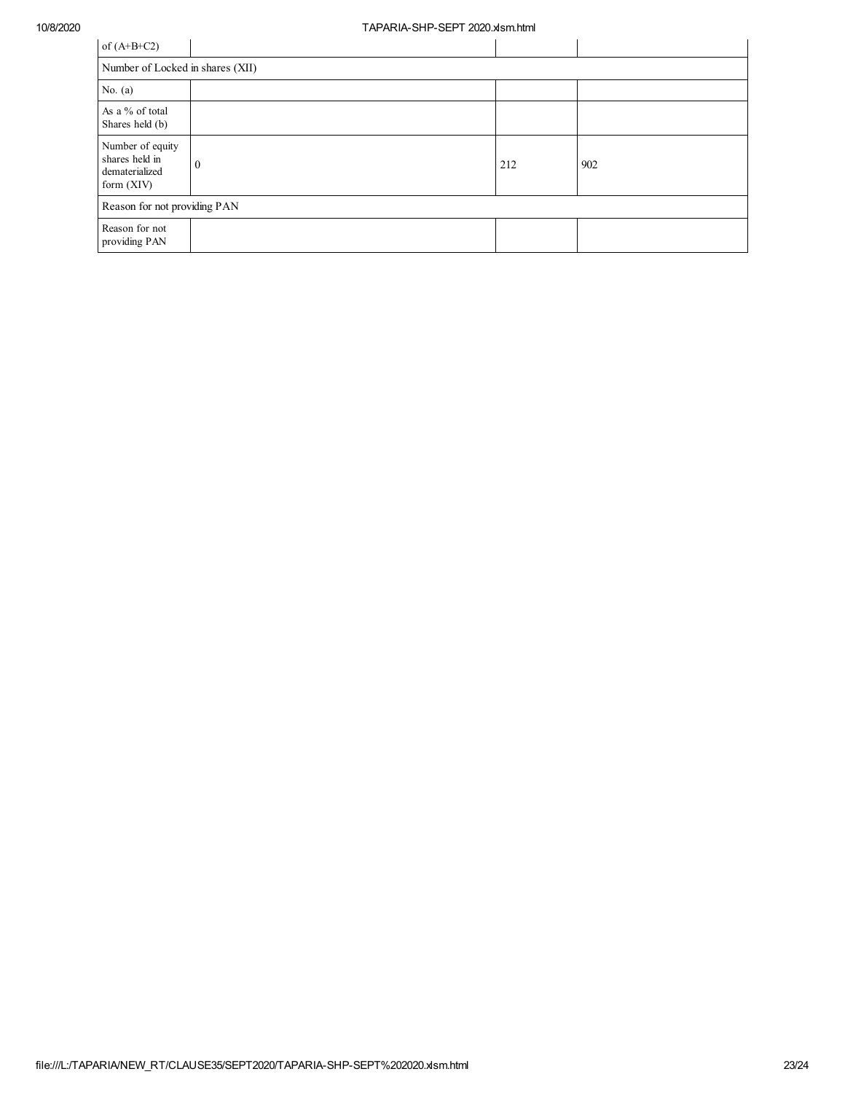| of $(A+B+C2)$                                                        |   |     |     |  |  |  |  |
|----------------------------------------------------------------------|---|-----|-----|--|--|--|--|
| Number of Locked in shares (XII)                                     |   |     |     |  |  |  |  |
| No. $(a)$                                                            |   |     |     |  |  |  |  |
| As a % of total<br>Shares held (b)                                   |   |     |     |  |  |  |  |
| Number of equity<br>shares held in<br>dematerialized<br>form $(XIV)$ | O | 212 | 902 |  |  |  |  |
| Reason for not providing PAN                                         |   |     |     |  |  |  |  |
| Reason for not<br>providing PAN                                      |   |     |     |  |  |  |  |